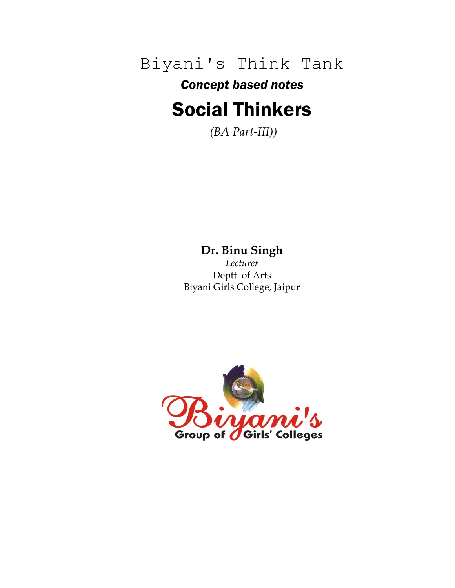Biyani's Think Tank

# *Concept based notes* Social Thinkers

*(BA Part-III))*

# **Dr. Binu Singh**

*Lecturer* Deptt. of Arts Biyani Girls College, Jaipur

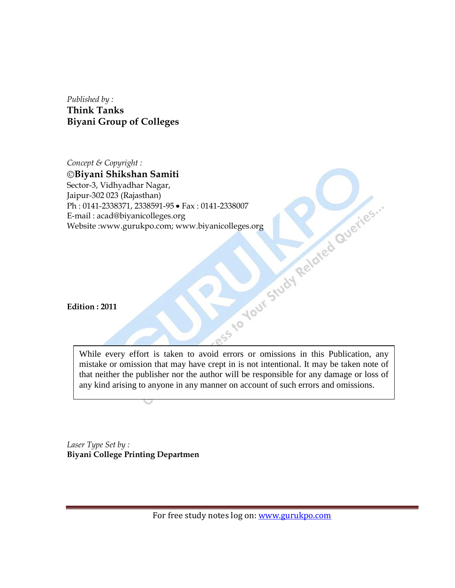*Published by :* **Think Tanks Biyani Group of Colleges**

*Concept & Copyright :* **Biyani Shikshan Samiti** Sector-3, Vidhyadhar Nagar, Jaipur-302 023 (Rajasthan) Ph : 0141-2338371, 2338591-95 • Fax : 0141-2338007<br>
E-mail : acad@biyanicolleges.org<br>Website :www.gurukpo.com; www.biyanicolleges.org<br>
Edition : 2011<br>
Fution : 2011 E-mail : acad@biyanicolleges.org Website :www.gurukpo.com; www.biyanicolleges.org

**Edition : 2011**

While every effort is taken to avoid errors or omissions in this Publication, any mistake or omission that may have crept in is not intentional. It may be taken note of that neither the publisher nor the author will be responsible for any damage or loss of any kind arising to anyone in any manner on account of such errors and omissions.

*Laser Type Set by :* **Biyani College Printing Departmen**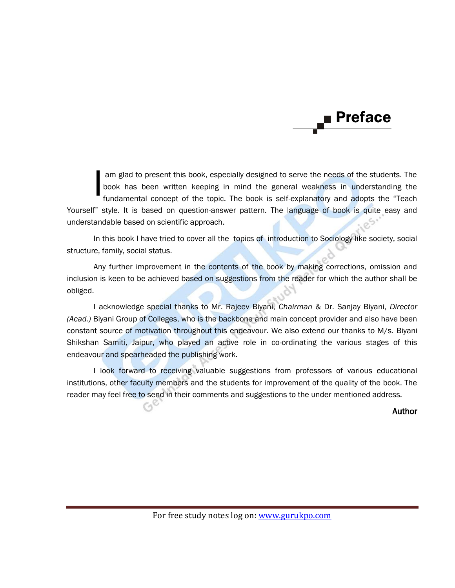# Preface

am glad to present this book, especially designed to serve the needs of the students. The book has been written keeping in mind the general weakness in understanding the fundamental concept of the topic. The book is self-explanatory and adopts the "Teach Yourself" style. It is based on question-answer pattern. The language of book is quite easy and understandable based on scientific approach. I

In this book I have tried to cover all the topics of introduction to Sociology like society, social structure, family, social status.

Any further improvement in the contents of the book by making corrections, omission and inclusion is keen to be achieved based on suggestions from the reader for which the author shall be obliged.

I acknowledge special thanks to Mr. Rajeev Biyani, *Chairman* & Dr. Sanjay Biyani, *Director (Acad.)* Biyani Group of Colleges, who is the backbone and main concept provider and also have been constant source of motivation throughout this endeavour. We also extend our thanks to M/s. Biyani Shikshan Samiti, Jaipur, who played an active role in co-ordinating the various stages of this endeavour and spearheaded the publishing work.

I look forward to receiving valuable suggestions from professors of various educational institutions, other faculty members and the students for improvement of the quality of the book. The reader may feel free to send in their comments and suggestions to the under mentioned address.

Author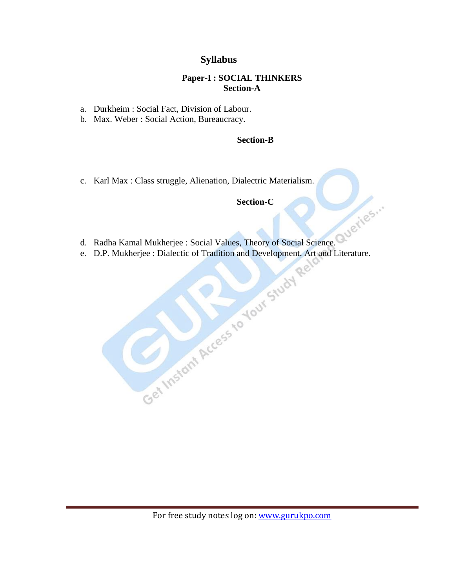# **Syllabus**

## **Paper-I : SOCIAL THINKERS Section-A**

- a. Durkheim : Social Fact, Division of Labour.
- b. Max. Weber : Social Action, Bureaucracy.

## **Section-B**

c. Karl Max : Class struggle, Alienation, Dialectric Materialism.

# **Section-C**

- d. Radha Kamal Mukherjee : Social Values, Theory of Social Science.
- e. D.P. Mukherjee : Dialectic of Tradition and Development, Art and Literature.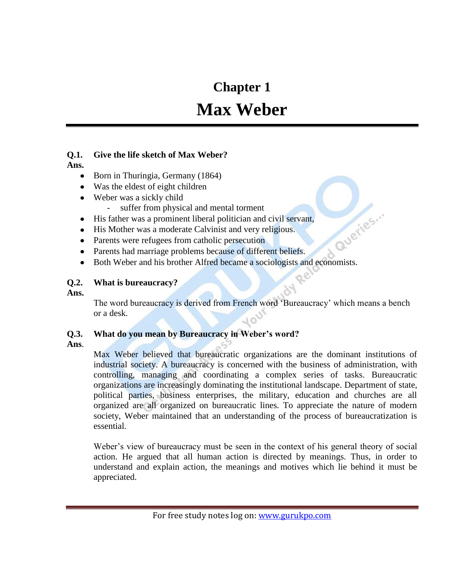# **Chapter 1**

# **Max Weber**

# **Q.1. Give the life sketch of Max Weber?**

**Ans.**

- Born in Thuringia, Germany (1864)
- Was the eldest of eight children
- Weber was a sickly child
	- suffer from physical and mental torment
- His father was a prominent liberal politician and civil servant,
- His Mother was a moderate Calvinist and very religious.
- Parents were refugees from catholic persecution
- Parents had marriage problems because of different beliefs.
- Example 1983.<br>
Parents were refugees from catholic persecution<br>
Parents had marriage problems because of different beliefs.<br>
Both Weber and his brother Alfred became a sociologists and economists.  $\bullet$

## **Q.2. What is bureaucracy?**

**Ans.**

The word bureaucracy is derived from French word 'Bureaucracy' which means a bench or a desk.

# **Q.3. What do you mean by Bureaucracy in Weber"s word?**

**Ans**.

Max Weber believed that bureaucratic organizations are the dominant institutions of industrial society. A bureaucracy is concerned with the business of administration, with controlling, managing and coordinating a complex series of tasks. Bureaucratic organizations are increasingly dominating the institutional landscape. Department of state, political parties, business enterprises, the military, education and churches are all organized are all organized on bureaucratic lines. To appreciate the nature of modern society, Weber maintained that an understanding of the process of bureaucratization is essential.

Weber's view of bureaucracy must be seen in the context of his general theory of social action. He argued that all human action is directed by meanings. Thus, in order to understand and explain action, the meanings and motives which lie behind it must be appreciated.

For free study notes log on: www.gurukpo.com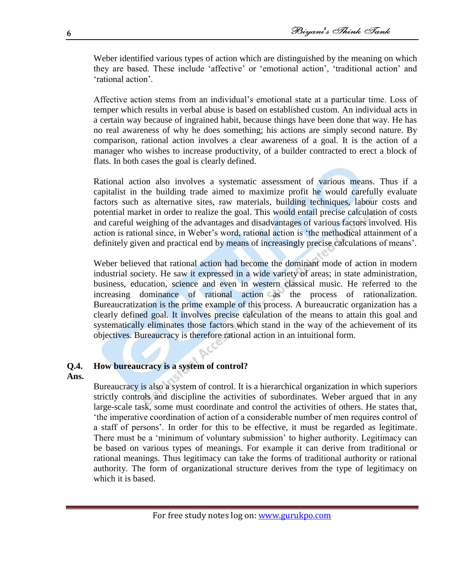Weber identified various types of action which are distinguished by the meaning on which they are based. These include ‗affective' or ‗emotional action', ‗traditional action' and ‗rational action'.

Affective action stems from an individual's emotional state at a particular time. Loss of temper which results in verbal abuse is based on established custom. An individual acts in a certain way because of ingrained habit, because things have been done that way. He has no real awareness of why he does something; his actions are simply second nature. By comparison, rational action involves a clear awareness of a goal. It is the action of a manager who wishes to increase productivity, of a builder contracted to erect a block of flats. In both cases the goal is clearly defined.

Rational action also involves a systematic assessment of various means. Thus if a capitalist in the building trade aimed to maximize profit he would carefully evaluate factors such as alternative sites, raw materials, building techniques, labour costs and potential market in order to realize the goal. This would entail precise calculation of costs and careful weighing of the advantages and disadvantages of various factors involved. His action is rational since, in Weber's word, rational action is 'the methodical attainment of a definitely given and practical end by means of increasingly precise calculations of means'.

Weber believed that rational action had become the dominant mode of action in modern industrial society. He saw it expressed in a wide variety of areas; in state administration, business, education, science and even in western classical music. He referred to the increasing dominance of rational action as the process of rationalization. Bureaucratization is the prime example of this process. A bureaucratic organization has a clearly defined goal. It involves precise calculation of the means to attain this goal and systematically eliminates those factors which stand in the way of the achievement of its objectives. Bureaucracy is therefore rational action in an intuitional form.

## **Q.4. How bureaucracy is a system of control?**

#### **Ans.**

Bureaucracy is also a system of control. It is a hierarchical organization in which superiors strictly controls and discipline the activities of subordinates. Weber argued that in any large-scale task, some must coordinate and control the activities of others. He states that, ‗the imperative coordination of action of a considerable number of men requires control of a staff of persons'. In order for this to be effective, it must be regarded as legitimate. There must be a 'minimum of voluntary submission' to higher authority. Legitimacy can be based on various types of meanings. For example it can derive from traditional or rational meanings. Thus legitimacy can take the forms of traditional authority or rational authority. The form of organizational structure derives from the type of legitimacy on which it is based.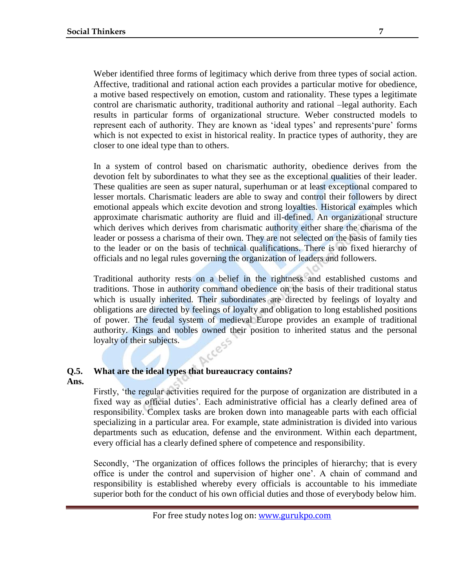Weber identified three forms of legitimacy which derive from three types of social action. Affective, traditional and rational action each provides a particular motive for obedience, a motive based respectively on emotion, custom and rationality. These types a legitimate control are charismatic authority, traditional authority and rational –legal authority. Each results in particular forms of organizational structure. Weber constructed models to represent each of authority. They are known as 'ideal types' and represents 'pure' forms which is not expected to exist in historical reality. In practice types of authority, they are closer to one ideal type than to others.

In a system of control based on charismatic authority, obedience derives from the devotion felt by subordinates to what they see as the exceptional qualities of their leader. These qualities are seen as super natural, superhuman or at least exceptional compared to lesser mortals. Charismatic leaders are able to sway and control their followers by direct emotional appeals which excite devotion and strong loyalties. Historical examples which approximate charismatic authority are fluid and ill-defined. An organizational structure which derives which derives from charismatic authority either share the charisma of the leader or possess a charisma of their own. They are not selected on the basis of family ties to the leader or on the basis of technical qualifications. There is no fixed hierarchy of officials and no legal rules governing the organization of leaders and followers.

Traditional authority rests on a belief in the rightness and established customs and traditions. Those in authority command obedience on the basis of their traditional status which is usually inherited. Their subordinates are directed by feelings of loyalty and obligations are directed by feelings of loyalty and obligation to long established positions of power. The feudal system of medieval Europe provides an example of traditional authority. Kings and nobles owned their position to inherited status and the personal loyalty of their subjects.

# **Q.5. What are the ideal types that bureaucracy contains?**

## **Ans.**

Firstly, 'the regular activities required for the purpose of organization are distributed in a fixed way as official duties'. Each administrative official has a clearly defined area of responsibility. Complex tasks are broken down into manageable parts with each official specializing in a particular area. For example, state administration is divided into various departments such as education, defense and the environment. Within each department, every official has a clearly defined sphere of competence and responsibility.

Secondly, ‗The organization of offices follows the principles of hierarchy; that is every office is under the control and supervision of higher one'. A chain of command and responsibility is established whereby every officials is accountable to his immediate superior both for the conduct of his own official duties and those of everybody below him.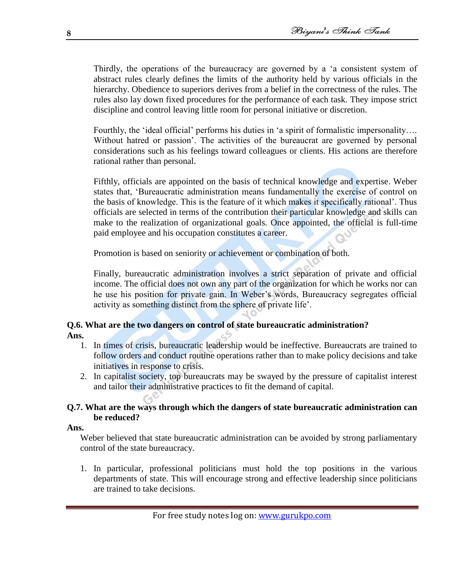Thirdly, the operations of the bureaucracy are governed by a 'a consistent system of abstract rules clearly defines the limits of the authority held by various officials in the hierarchy. Obedience to superiors derives from a belief in the correctness of the rules. The rules also lay down fixed procedures for the performance of each task. They impose strict discipline and control leaving little room for personal initiative or discretion.

Fourthly, the 'ideal official' performs his duties in 'a spirit of formalistic impersonality.... Without hatred or passion'. The activities of the bureaucrat are governed by personal considerations such as his feelings toward colleagues or clients. His actions are therefore rational rather than personal.

Fifthly, officials are appointed on the basis of technical knowledge and expertise. Weber states that, 'Bureaucratic administration means fundamentally the exercise of control on the basis of knowledge. This is the feature of it which makes it specifically rational'. Thus officials are selected in terms of the contribution their particular knowledge and skills can make to the realization of organizational goals. Once appointed, the official is full-time paid employee and his occupation constitutes a career.

Promotion is based on seniority or achievement or combination of both.

Finally, bureaucratic administration involves a strict separation of private and official income. The official does not own any part of the organization for which he works nor can he use his position for private gain. In Weber's words, Bureaucracy segregates official activity as something distinct from the sphere of private life'.

# **Q.6. What are the two dangers on control of state bureaucratic administration? Ans.**

- 1. In times of crisis, bureaucratic leadership would be ineffective. Bureaucrats are trained to follow orders and conduct routine operations rather than to make policy decisions and take initiatives in response to crisis.
- 2. In capitalist society, top bureaucrats may be swayed by the pressure of capitalist interest and tailor their administrative practices to fit the demand of capital.

# **Q.7. What are the ways through which the dangers of state bureaucratic administration can be reduced?**

#### **Ans.**

Weber believed that state bureaucratic administration can be avoided by strong parliamentary control of the state bureaucracy.

1. In particular, professional politicians must hold the top positions in the various departments of state. This will encourage strong and effective leadership since politicians are trained to take decisions.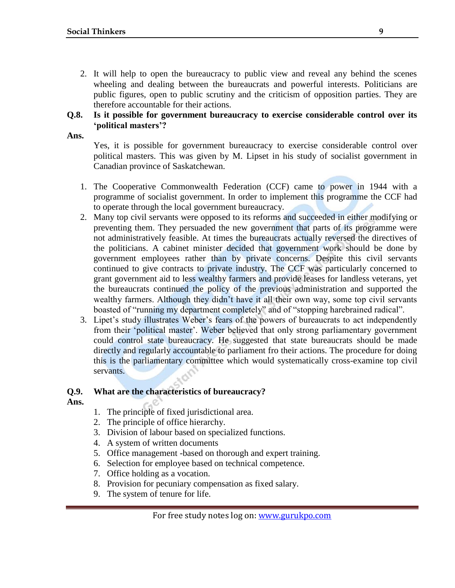2. It will help to open the bureaucracy to public view and reveal any behind the scenes wheeling and dealing between the bureaucrats and powerful interests. Politicians are public figures, open to public scrutiny and the criticism of opposition parties. They are therefore accountable for their actions.

## **Q.8. Is it possible for government bureaucracy to exercise considerable control over its "political masters"?**

**Ans.**

Yes, it is possible for government bureaucracy to exercise considerable control over political masters. This was given by M. Lipset in his study of socialist government in Canadian province of Saskatchewan.

- 1. The Cooperative Commonwealth Federation (CCF) came to power in 1944 with a programme of socialist government. In order to implement this programme the CCF had to operate through the local government bureaucracy.
- 2. Many top civil servants were opposed to its reforms and succeeded in either modifying or preventing them. They persuaded the new government that parts of its programme were not administratively feasible. At times the bureaucrats actually reversed the directives of the politicians. A cabinet minister decided that government work should be done by government employees rather than by private concerns. Despite this civil servants continued to give contracts to private industry. The CCF was particularly concerned to grant government aid to less wealthy farmers and provide leases for landless veterans, yet the bureaucrats continued the policy of the previous administration and supported the wealthy farmers. Although they didn't have it all their own way, some top civil servants boasted of "running my department completely" and of "stopping harebrained radical".
- 3. Lipet's study illustrates Weber's fears of the powers of bureaucrats to act independently from their 'political master'. Weber believed that only strong parliamentary government could control state bureaucracy. He suggested that state bureaucrats should be made directly and regularly accountable to parliament fro their actions. The procedure for doing this is the parliamentary committee which would systematically cross-examine top civil servants.

## **Q.9. What are the characteristics of bureaucracy?**

- **Ans.**
- 1. The principle of fixed jurisdictional area.
- 2. The principle of office hierarchy.
- 3. Division of labour based on specialized functions.
- 4. A system of written documents
- 5. Office management -based on thorough and expert training.
- 6. Selection for employee based on technical competence.
- 7. Office holding as a vocation.
- 8. Provision for pecuniary compensation as fixed salary.
- 9. The system of tenure for life.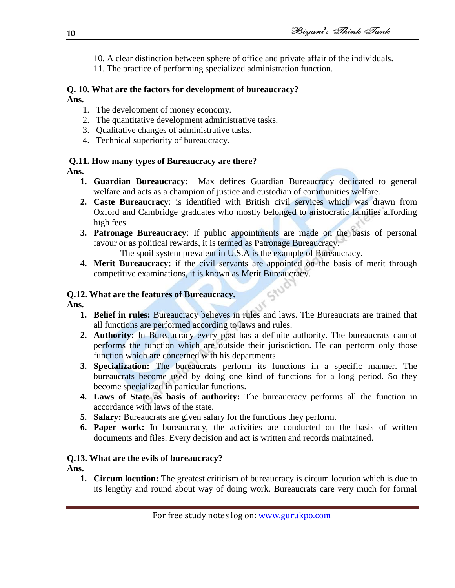- 10. A clear distinction between sphere of office and private affair of the individuals.
- 11. The practice of performing specialized administration function.

#### **Q. 10. What are the factors for development of bureaucracy? Ans.**

- 1. The development of money economy.
- 2. The quantitative development administrative tasks.
- 3. Qualitative changes of administrative tasks.
- 4. Technical superiority of bureaucracy.

# **Q.11. How many types of Bureaucracy are there?**

# **Ans.**

- **1. Guardian Bureaucracy**: Max defines Guardian Bureaucracy dedicated to general welfare and acts as a champion of justice and custodian of communities welfare.
- **2. Caste Bureaucracy**: is identified with British civil services which was drawn from Oxford and Cambridge graduates who mostly belonged to aristocratic families affording high fees.
- **3. Patronage Bureaucracy**: If public appointments are made on the basis of personal favour or as political rewards, it is termed as Patronage Bureaucracy.

The spoil system prevalent in U.S.A is the example of Bureaucracy.

**4. Merit Bureaucracy:** if the civil servants are appointed on the basis of merit through competitive examinations, it is known as Merit Bureaucracy.

# **Q.12. What are the features of Bureaucracy.**

## **Ans.**

- **1. Belief in rules:** Bureaucracy believes in rules and laws. The Bureaucrats are trained that all functions are performed according to laws and rules.
- **2. Authority:** In Bureaucracy every post has a definite authority. The bureaucrats cannot performs the function which are outside their jurisdiction. He can perform only those function which are concerned with his departments.
- **3. Specialization:** The bureaucrats perform its functions in a specific manner. The bureaucrats become used by doing one kind of functions for a long period. So they become specialized in particular functions.
- **4. Laws of State as basis of authority:** The bureaucracy performs all the function in accordance with laws of the state.
- **5. Salary:** Bureaucrats are given salary for the functions they perform.
- **6. Paper work:** In bureaucracy, the activities are conducted on the basis of written documents and files. Every decision and act is written and records maintained.

# **Q.13. What are the evils of bureaucracy?**

# **Ans.**

**1. Circum locution:** The greatest criticism of bureaucracy is circum locution which is due to its lengthy and round about way of doing work. Bureaucrats care very much for formal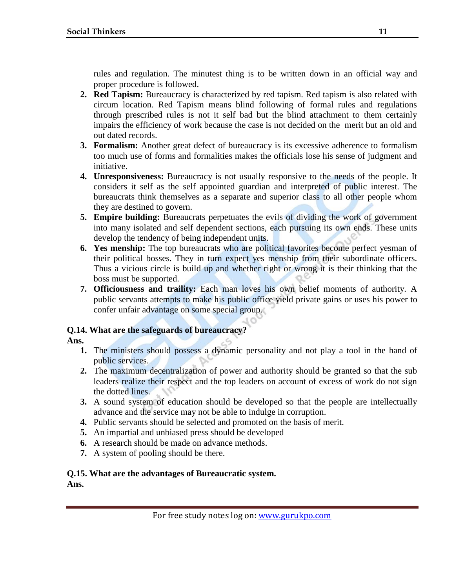rules and regulation. The minutest thing is to be written down in an official way and proper procedure is followed.

- **2. Red Tapism:** Bureaucracy is characterized by red tapism. Red tapism is also related with circum location. Red Tapism means blind following of formal rules and regulations through prescribed rules is not it self bad but the blind attachment to them certainly impairs the efficiency of work because the case is not decided on the merit but an old and out dated records.
- **3. Formalism:** Another great defect of bureaucracy is its excessive adherence to formalism too much use of forms and formalities makes the officials lose his sense of judgment and initiative.
- **4. Unresponsiveness:** Bureaucracy is not usually responsive to the needs of the people. It considers it self as the self appointed guardian and interpreted of public interest. The bureaucrats think themselves as a separate and superior class to all other people whom they are destined to govern.
- **5. Empire building:** Bureaucrats perpetuates the evils of dividing the work of government into many isolated and self dependent sections, each pursuing its own ends. These units develop the tendency of being independent units.
- **6. Yes menship:** The top bureaucrats who are political favorites become perfect yesman of their political bosses. They in turn expect yes menship from their subordinate officers. Thus a vicious circle is build up and whether right or wrong it is their thinking that the boss must be supported.
- **7. Officiousness and traility:** Each man loves his own belief moments of authority. A public servants attempts to make his public office yield private gains or uses his power to confer unfair advantage on some special group.

## **Q.14. What are the safeguards of bureaucracy?**

## **Ans.**

- **1.** The ministers should possess a dynamic personality and not play a tool in the hand of public services.
- **2.** The maximum decentralization of power and authority should be granted so that the sub leaders realize their respect and the top leaders on account of excess of work do not sign the dotted lines.
- **3.** A sound system of education should be developed so that the people are intellectually advance and the service may not be able to indulge in corruption.
- **4.** Public servants should be selected and promoted on the basis of merit.
- **5.** An impartial and unbiased press should be developed
- **6.** A research should be made on advance methods.
- **7.** A system of pooling should be there.

# **Q.15. What are the advantages of Bureaucratic system.**

**Ans.**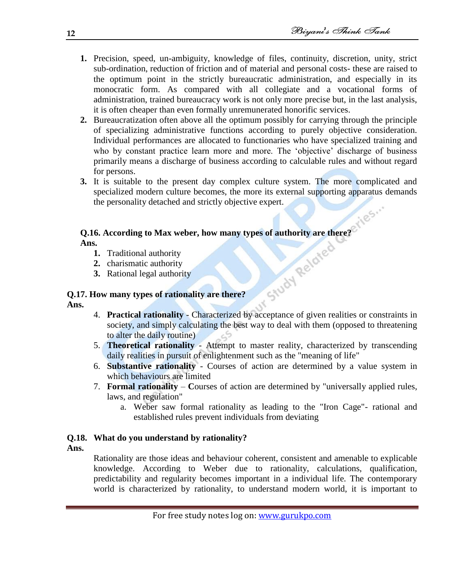- **1.** Precision, speed, un-ambiguity, knowledge of files, continuity, discretion, unity, strict sub-ordination, reduction of friction and of material and personal costs- these are raised to the optimum point in the strictly bureaucratic administration, and especially in its monocratic form. As compared with all collegiate and a vocational forms of administration, trained bureaucracy work is not only more precise but, in the last analysis, it is often cheaper than even formally unremunerated honorific services.
- **2.** Bureaucratization often above all the optimum possibly for carrying through the principle of specializing administrative functions according to purely objective consideration. Individual performances are allocated to functionaries who have specialized training and who by constant practice learn more and more. The 'objective' discharge of business primarily means a discharge of business according to calculable rules and without regard for persons.
- **3.** It is suitable to the present day complex culture system. The more complicated and specialized modern culture becomes, the more its external supporting apparatus demands the personality detached and strictly objective expert.

# **Q.16. According to Max weber, how many types of authority are there?**

**Ans.** 

- **1.** Traditional authority
- **2.** charismatic authority
- **3.** Rational legal authority

## **Q.17. How many types of rationality are there?**

**Ans.**

- 4. **Practical rationality** Characterized by acceptance of given realities or constraints in society, and simply calculating the best way to deal with them (opposed to threatening to alter the daily routine) ಬ
- 5. **Theoretical rationality** Attempt to master reality, characterized by transcending daily realities in pursuit of enlightenment such as the "meaning of life"
- 6. **Substantive rationality** Courses of action are determined by a value system in which behaviours are limited
- 7. **Formal rationality C**ourses of action are determined by "universally applied rules, laws, and regulation"
	- a. Weber saw formal rationality as leading to the "Iron Cage"- rational and established rules prevent individuals from deviating

# **Q.18. What do you understand by rationality?**

**Ans.**

Rationality are those ideas and behaviour coherent, consistent and amenable to explicable knowledge. According to Weber due to rationality, calculations, qualification, predictability and regularity becomes important in a individual life. The contemporary world is characterized by rationality, to understand modern world, it is important to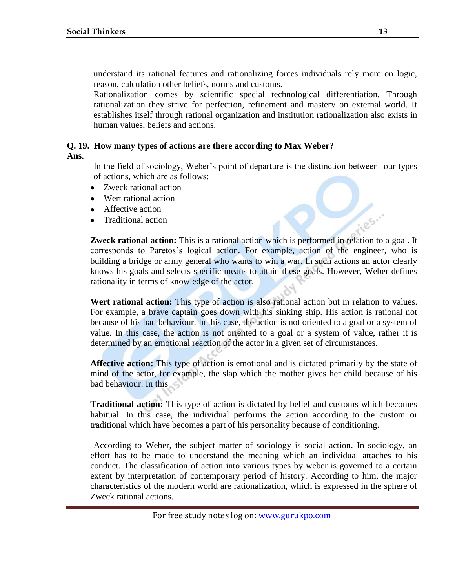understand its rational features and rationalizing forces individuals rely more on logic, reason, calculation other beliefs, norms and customs.

Rationalization comes by scientific special technological differentiation. Through rationalization they strive for perfection, refinement and mastery on external world. It establishes itself through rational organization and institution rationalization also exists in human values, beliefs and actions.

## **Q. 19. How many types of actions are there according to Max Weber?**

**Ans.**

In the field of sociology, Weber's point of departure is the distinction between four types of actions, which are as follows:

- $\bullet$ Zweck rational action
- Wert rational action
- Affective action
- Traditional action

**Zweck rational action:** This is a rational action which is performed in relation to a goal. It corresponds to Paretos's logical action. For example, action of the engineer, who is building a bridge or army general who wants to win a war. In such actions an actor clearly knows his goals and selects specific means to attain these goals. However, Weber defines rationality in terms of knowledge of the actor.

Wert rational action: This type of action is also rational action but in relation to values. For example, a brave captain goes down with his sinking ship. His action is rational not because of his bad behaviour. In this case, the action is not oriented to a goal or a system of value. In this case, the action is not oriented to a goal or a system of value, rather it is determined by an emotional reaction of the actor in a given set of circumstances.

**Affective action:** This type of action is emotional and is dictated primarily by the state of mind of the actor, for example, the slap which the mother gives her child because of his bad behaviour. In this

**Traditional action:** This type of action is dictated by belief and customs which becomes habitual. In this case, the individual performs the action according to the custom or traditional which have becomes a part of his personality because of conditioning.

According to Weber, the subject matter of sociology is social action. In sociology, an effort has to be made to understand the meaning which an individual attaches to his conduct. The classification of action into various types by weber is governed to a certain extent by interpretation of contemporary period of history. According to him, the major characteristics of the modern world are rationalization, which is expressed in the sphere of Zweck rational actions.

185.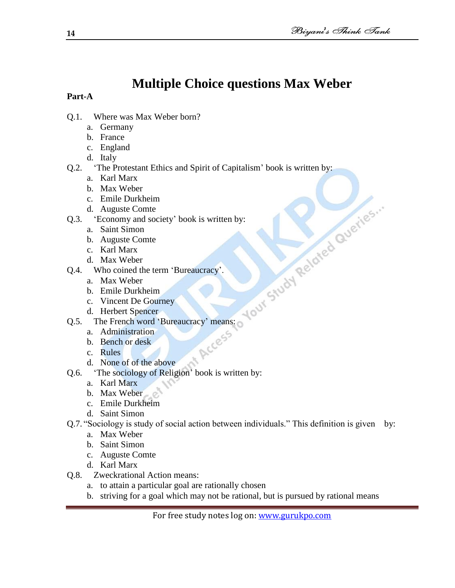# **Multiple Choice questions Max Weber**

- Q.1. Where was Max Weber born?
	- a. Germany
	- b. France
	- c. England
	- d. Italy
- Q.2. ‗The Protestant Ethics and Spirit of Capitalism' book is written by:
	- a. Karl Marx
	- b. Max Weber
	- c. Emile Durkheim
	- d. Auguste Comte
	- - a. Saint Simon
		- b. Auguste Comte
		- c. Karl Marx
		- d. Max Weber
- Q.4. Who coined the term 'Bureaucracy'.
	- a. Max Weber
	- b. Emile Durkheim
	- c. Vincent De Gourney
	- d. Herbert Spencer
- Comparison Contract Contract Contract Contract Contract Contract Contract Contract Contract Contract Contract Contract Contract Contract Contract Contract Contract Contract Contract Contract Contract Contract Contract Con Q.5. The French word 'Bureaucracy' means:<br>
a. Administration<br>
b. Bench or desk<br>
c. Rules
	- a. Administration
	- b. Bench or desk
	- c. Rules
	- d. None of of the above
- Q.6. ‗The sociology of Religion' book is written by:
	- a. Karl Marx
	- b. Max Weber
	- c. Emile Durkheim
	- d. Saint Simon
- Q.7. "Sociology is study of social action between individuals." This definition is given by:
	- a. Max Weber
	- b. Saint Simon
	- c. Auguste Comte
	- d. Karl Marx
- Q.8. Zweckrational Action means:
	- a. to attain a particular goal are rationally chosen
	- b. striving for a goal which may not be rational, but is pursued by rational means

For free study notes log on: www.gurukpo.com

**Part-A**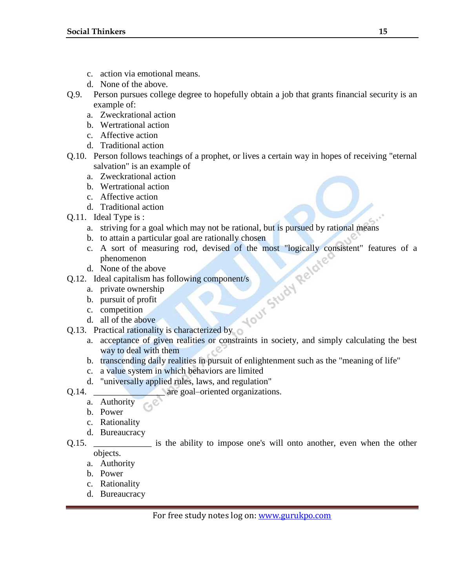- c. action via emotional means.
- d. None of the above.
- Q.9. Person pursues college degree to hopefully obtain a job that grants financial security is an example of:
	- a. Zweckrational action
	- b. Wertrational action
	- c. Affective action
	- d. Traditional action
- Q.10. Person follows teachings of a prophet, or lives a certain way in hopes of receiving "eternal salvation" is an example of
	- a. Zweckrational action
	- b. Wertrational action
	- c. Affective action
	- d. Traditional action
- Q.11. Ideal Type is :
	- a. striving for a goal which may not be rational, but is pursued by rational means
	- b. to attain a particular goal are rationally chosen
	- c. A sort of measuring rod, devised of the most "logically consistent" features of a<br>phenomenon<br>d. None of the above<br>ldeal capitalism has following component/s<br>a. private ownership<br>b. pursuit of profit<br>c. competition<br>d. al phenomenon
	- d. None of the above
- Q.12. Ideal capitalism has following component/s
	- a. private ownership
	- b. pursuit of profit
	- c. competition
	- d. all of the above
- Q.13. Practical rationality is characterized by
	- a. acceptance of given realities or constraints in society, and simply calculating the best way to deal with them
	- b. transcending daily realities in pursuit of enlightenment such as the "meaning of life"
	- c. a value system in which behaviors are limited
	- d. "universally applied rules, laws, and regulation"
- Q.14. **are goal–oriented organizations.** 
	- a. Authority
	- b. Power
	- c. Rationality
	- d. Bureaucracy
- Q.15. **Example 2.15.** is the ability to impose one's will onto another, even when the other objects.
	- a. Authority
	- b. Power
	- c. Rationality
	- d. Bureaucracy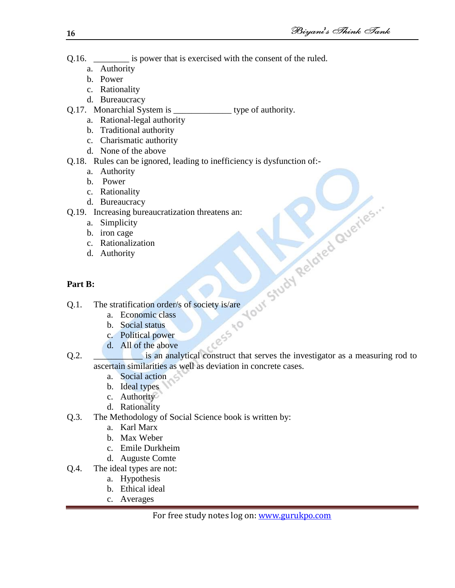- Q.16.  $\qquad$  is power that is exercised with the consent of the ruled.
	- a. Authority
	- b. Power
	- c. Rationality
	- d. Bureaucracy
- Q.17. Monarchial System is \_\_\_\_\_\_\_\_\_\_\_\_\_ type of authority.
	- a. Rational-legal authority
	- b. Traditional authority
	- c. Charismatic authority
	- d. None of the above
- Q.18. Rules can be ignored, leading to inefficiency is dysfunction of:
	- a. Authority
	- b. Power
	- c. Rationality
	- d. Bureaucracy
- - a. Simplicity
	- b. iron cage
	- c. Rationalization
	- d. Authority

# **Part B:**

- Q.1. The stratification order/s of society is/are
	- a. Economic class
	- b. Social status
	- c. Political power
	- d. All of the above
- 2.19. Increasing bureaucratization threatens an:<br>
a. Simplicity<br>
b. iron cage<br>
c. Rationalization<br>
d. Authority<br>
Part B:<br>
Q.1. The stratification order/s of so-<br>
b. Social star-<br>
c. Political<br>
c. Political<br>
c. Political<br> Q.2. **Example 1.1** is an analytical construct that serves the investigator as a measuring rod to ascertain similarities as well as deviation in concrete cases.
	- a. Social action
	- b. Ideal types
	- c. Authority
	- d. Rationality
- Q.3. The Methodology of Social Science book is written by:
	- a. Karl Marx
	- b. Max Weber
	- c. Emile Durkheim
	- d. Auguste Comte
- Q.4. The ideal types are not:
	- a. Hypothesis
	- b. Ethical ideal
	- c. Averages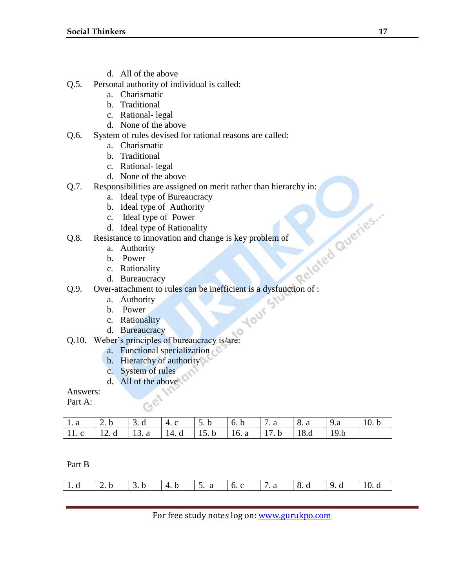- d. All of the above
- Q.5. Personal authority of individual is called:
	- a. Charismatic
	- b. Traditional
	- c. Rational- legal
	- d. None of the above
- Q.6. System of rules devised for rational reasons are called:
	- a. Charismatic
	- b. Traditional
	- c. Rational- legal
	- d. None of the above
- Q.7. Responsibilities are assigned on merit rather than hierarchy in:
	- a. Ideal type of Bureaucracy
	- b. Ideal type of Authority
	- c. Ideal type of Power
	- d. Ideal type of Rationality
- - a. Authority
	- b. Power
	- c. Rationality
	- d. Bureaucracy
- 2.8. Resistance to innovation and change is key problem of<br>
a. Authority<br>
b. Power<br>
c. Rationality<br>
d. Bureaucracy<br>
2.9. Out Q.9. Over-attachment to rules can be inefficient is a dysfunction of :<br>
a. Authority<br>
b. Power<br>
c. Rationality
	- a. Authority
	- b. Power
	- c. Rationality
	- d. Bureaucracy
- Q.10. Weber's principles of bureaucracy is/are:
	- a. Functional specialization
	- b. Hierarchy of authority

GeN

- c. System of rules
- d. All of the above

Answers:

Part A:

|  |  | 11. c   12. d   13. a   14. d   15. b   16. a   17. b   18. d   19. b |  |  |
|--|--|-----------------------------------------------------------------------|--|--|

Part B

|--|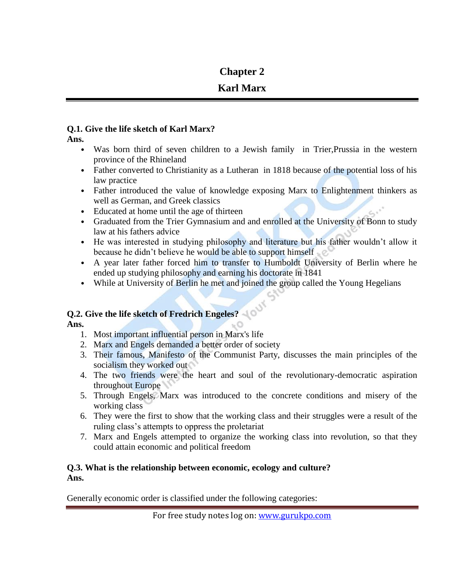# **Chapter 2**

# **Karl Marx**

# **Q.1. Give the life sketch of Karl Marx?**

**Ans.**

- Was born third of seven children to a Jewish family in Trier, Prussia in the western province of the Rhineland
- Father converted to Christianity as a Lutheran in 1818 because of the potential loss of his law practice
- Father introduced the value of knowledge exposing Marx to Enlightenment thinkers as well as German, and Greek classics
- Educated at home until the age of thirteen
- Graduated from the Trier Gymnasium and and enrolled at the University of Bonn to study law at his fathers advice
- He was interested in studying philosophy and literature but his father wouldn't allow it because he didn't believe he would be able to support himself
- A year later father forced him to transfer to Humboldt University of Berlin where he ended up studying philosophy and earning his doctorate in 1841
- While at University of Berlin he met and joined the group called the Young Hegelians

# **Q.2. Give the life sketch of Fredrich Engeles?**

**Ans.**

- 1. Most important influential person in Marx's life
- 2. Marx and Engels demanded a better order of society
- 3. Their famous, Manifesto of the Communist Party, discusses the main principles of the socialism they worked out
- 4. The two friends were the heart and soul of the revolutionary-democratic aspiration throughout Europe
- 5. Through Engels, Marx was introduced to the concrete conditions and misery of the working class
- 6. They were the first to show that the working class and their struggles were a result of the ruling class's attempts to oppress the proletariat
- 7. Marx and Engels attempted to organize the working class into revolution, so that they could attain economic and political freedom

# **Q.3. What is the relationship between economic, ecology and culture? Ans.**

Generally economic order is classified under the following categories: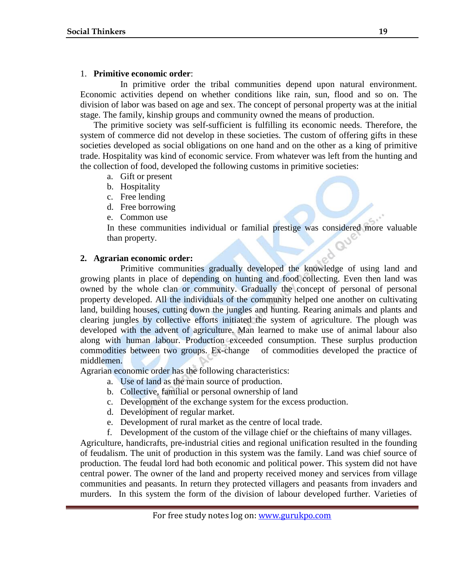# 1. **Primitive economic order**:

In primitive order the tribal communities depend upon natural environment. Economic activities depend on whether conditions like rain, sun, flood and so on. The division of labor was based on age and sex. The concept of personal property was at the initial stage. The family, kinship groups and community owned the means of production.

The primitive society was self-sufficient is fulfilling its economic needs. Therefore, the system of commerce did not develop in these societies. The custom of offering gifts in these societies developed as social obligations on one hand and on the other as a king of primitive trade. Hospitality was kind of economic service. From whatever was left from the hunting and the collection of food, developed the following customs in primitive societies:

- a. Gift or present
- b. Hospitality
- c. Free lending
- d. Free borrowing
- e. Common use

In these communities individual or familial prestige was considered more valuable than property.

# **2. Agrarian economic order:**

Primitive communities gradually developed the knowledge of using land and growing plants in place of depending on hunting and food collecting. Even then land was owned by the whole clan or community. Gradually the concept of personal of personal property developed. All the individuals of the community helped one another on cultivating land, building houses, cutting down the jungles and hunting. Rearing animals and plants and clearing jungles by collective efforts initiated the system of agriculture. The plough was developed with the advent of agriculture. Man learned to make use of animal labour also along with human labour. Production exceeded consumption. These surplus production commodities between two groups. Ex-change of commodities developed the practice of middlemen.

Agrarian economic order has the following characteristics:

- a. Use of land as the main source of production.
- b. Collective, familial or personal ownership of land
- c. Development of the exchange system for the excess production.
- d. Development of regular market.
- e. Development of rural market as the centre of local trade.
- f. Development of the custom of the village chief or the chieftains of many villages.

Agriculture, handicrafts, pre-industrial cities and regional unification resulted in the founding of feudalism. The unit of production in this system was the family. Land was chief source of production. The feudal lord had both economic and political power. This system did not have central power. The owner of the land and property received money and services from village communities and peasants. In return they protected villagers and peasants from invaders and murders. In this system the form of the division of labour developed further. Varieties of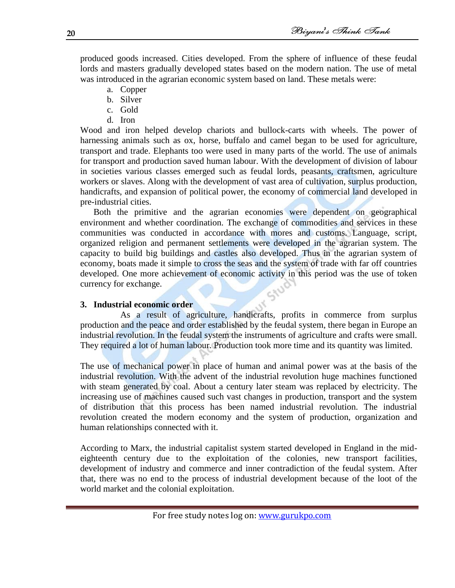produced goods increased. Cities developed. From the sphere of influence of these feudal lords and masters gradually developed states based on the modern nation. The use of metal was introduced in the agrarian economic system based on land. These metals were:

- a. Copper
- b. Silver
- c. Gold
- d. Iron

Wood and iron helped develop chariots and bullock-carts with wheels. The power of harnessing animals such as ox, horse, buffalo and camel began to be used for agriculture, transport and trade. Elephants too were used in many parts of the world. The use of animals for transport and production saved human labour. With the development of division of labour in societies various classes emerged such as feudal lords, peasants, craftsmen, agriculture workers or slaves. Along with the development of vast area of cultivation, surplus production, handicrafts, and expansion of political power, the economy of commercial land developed in pre-industrial cities.

Both the primitive and the agrarian economies were dependent on geographical environment and whether coordination. The exchange of commodities and services in these communities was conducted in accordance with mores and customs. Language, script, organized religion and permanent settlements were developed in the agrarian system. The capacity to build big buildings and castles also developed. Thus in the agrarian system of economy, boats made it simple to cross the seas and the system of trade with far off countries developed. One more achievement of economic activity in this period was the use of token currency for exchange.

## **3. Industrial economic order**

As a result of agriculture, handicrafts, profits in commerce from surplus production and the peace and order established by the feudal system, there began in Europe an industrial revolution. In the feudal system the instruments of agriculture and crafts were small. They required a lot of human labour. Production took more time and its quantity was limited.

The use of mechanical power in place of human and animal power was at the basis of the industrial revolution. With the advent of the industrial revolution huge machines functioned with steam generated by coal. About a century later steam was replaced by electricity. The increasing use of machines caused such vast changes in production, transport and the system of distribution that this process has been named industrial revolution. The industrial revolution created the modern economy and the system of production, organization and human relationships connected with it.

According to Marx, the industrial capitalist system started developed in England in the mideighteenth century due to the exploitation of the colonies, new transport facilities, development of industry and commerce and inner contradiction of the feudal system. After that, there was no end to the process of industrial development because of the loot of the world market and the colonial exploitation.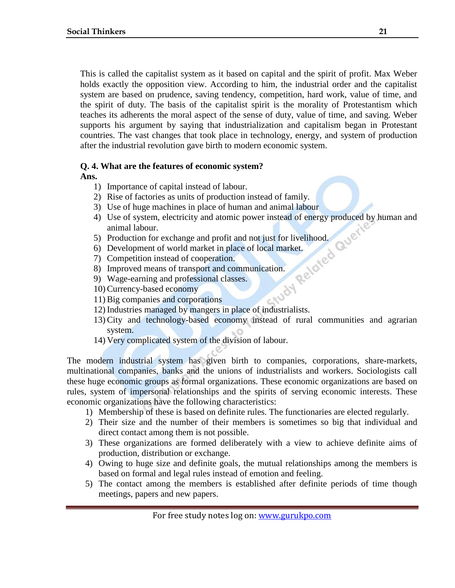This is called the capitalist system as it based on capital and the spirit of profit. Max Weber holds exactly the opposition view. According to him, the industrial order and the capitalist system are based on prudence, saving tendency, competition, hard work, value of time, and the spirit of duty. The basis of the capitalist spirit is the morality of Protestantism which teaches its adherents the moral aspect of the sense of duty, value of time, and saving. Weber supports his argument by saying that industrialization and capitalism began in Protestant countries. The vast changes that took place in technology, energy, and system of production after the industrial revolution gave birth to modern economic system.

## **Q. 4. What are the features of economic system?**

**Ans.**

- 1) Importance of capital instead of labour.
- 2) Rise of factories as units of production instead of family.
- 
- 3) Use of huge machines in place of human and animal labour<br>
4) Use of system, electricity and atomic power instead of energy produced<br>
animal labour.<br>
5) Production for exchange and profit and not just for livelihood.<br>
6 4) Use of system, electricity and atomic power instead of energy produced by human and animal labour.
- 5) Production for exchange and profit and not just for livelihood.
- 6) Development of world market in place of local market.
- 7) Competition instead of cooperation.
- 8) Improved means of transport and communication.
- 9) Wage-earning and professional classes.
- 10) Currency-based economy
- 11) Big companies and corporations
- 12) Industries managed by mangers in place of industrialists.
- 13) City and technology-based economy instead of rural communities and agrarian system.
- 14) Very complicated system of the division of labour.

The modern industrial system has given birth to companies, corporations, share-markets, multinational companies, banks and the unions of industrialists and workers. Sociologists call these huge economic groups as formal organizations. These economic organizations are based on rules, system of impersonal relationships and the spirits of serving economic interests. These economic organizations have the following characteristics:

- 1) Membership of these is based on definite rules. The functionaries are elected regularly.
- 2) Their size and the number of their members is sometimes so big that individual and direct contact among them is not possible.
- 3) These organizations are formed deliberately with a view to achieve definite aims of production, distribution or exchange.
- 4) Owing to huge size and definite goals, the mutual relationships among the members is based on formal and legal rules instead of emotion and feeling.
- 5) The contact among the members is established after definite periods of time though meetings, papers and new papers.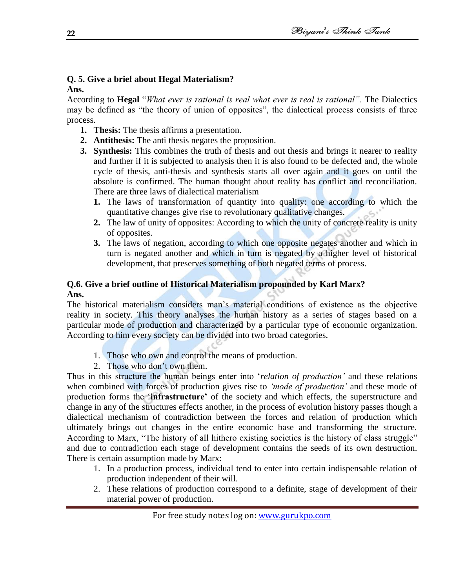#### **Q. 5. Give a brief about Hegal Materialism? Ans.**

According to **Hegal** "*What ever is rational is real what ever is real is rational*". The Dialectics may be defined as "the theory of union of opposites", the dialectical process consists of three process.

- **1. Thesis:** The thesis affirms a presentation.
- **2. Antithesis:** The anti thesis negates the proposition.
- **3. Synthesis:** This combines the truth of thesis and out thesis and brings it nearer to reality and further if it is subjected to analysis then it is also found to be defected and, the whole cycle of thesis, anti-thesis and synthesis starts all over again and it goes on until the absolute is confirmed. The human thought about reality has conflict and reconciliation. There are three laws of dialectical materialism
	- **1.** The laws of transformation of quantity into quality: one according to which the quantitative changes give rise to revolutionary qualitative changes.
	- **2.** The law of unity of opposites: According to which the unity of concrete reality is unity of opposites.
	- **3.** The laws of negation, according to which one opposite negates another and which in turn is negated another and which in turn is negated by a higher level of historical development, that preserves something of both negated terms of process.

# **Q.6. Give a brief outline of Historical Materialism propounded by Karl Marx? Ans.**

The historical materialism considers man's material conditions of existence as the objective reality in society. This theory analyses the human history as a series of stages based on a particular mode of production and characterized by a particular type of economic organization. According to him every society can be divided into two broad categories.

- 1. Those who own and control the means of production.
- 2. Those who don't own them.

Thus in this structure the human beings enter into ‗*relation of production'* and these relations when combined with forces of production gives rise to *'mode of production'* and these mode of production forms the ‗**infrastructure"** of the society and which effects, the superstructure and change in any of the structures effects another, in the process of evolution history passes though a dialectical mechanism of contradiction between the forces and relation of production which ultimately brings out changes in the entire economic base and transforming the structure. According to Marx, "The history of all hithero existing societies is the history of class struggle" and due to contradiction each stage of development contains the seeds of its own destruction. There is certain assumption made by Marx:

- 1. In a production process, individual tend to enter into certain indispensable relation of production independent of their will.
- 2. These relations of production correspond to a definite, stage of development of their material power of production.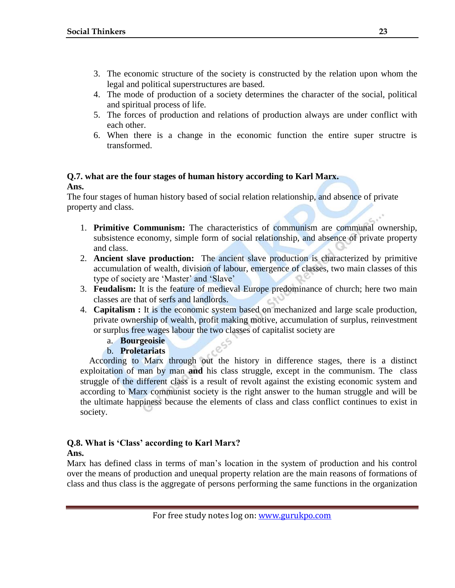- 3. The economic structure of the society is constructed by the relation upon whom the legal and political superstructures are based.
- 4. The mode of production of a society determines the character of the social, political and spiritual process of life.
- 5. The forces of production and relations of production always are under conflict with each other.
- 6. When there is a change in the economic function the entire super structre is transformed.

# **Q.7. what are the four stages of human history according to Karl Marx. Ans.**

The four stages of human history based of social relation relationship, and absence of private property and class.

- 1. **Primitive Communism:** The characteristics of communism are communal ownership, subsistence economy, simple form of social relationship, and absence of private property and class.
- 2. **Ancient slave production:** The ancient slave production is characterized by primitive accumulation of wealth, division of labour, emergence of classes, two main classes of this type of society are 'Master' and 'Slave'
- 3. **Feudalism:** It is the feature of medieval Europe predominance of church; here two main classes are that of serfs and landlords.
- 4. **Capitalism :** It is the economic system based on mechanized and large scale production, private ownership of wealth, profit making motive, accumulation of surplus, reinvestment or surplus free wages labour the two classes of capitalist society are
	- a. **Bourgeoisie**

## b. **Proletariats**

 According to Marx through out the history in difference stages, there is a distinct exploitation of man by man **and** his class struggle, except in the communism. The class struggle of the different class is a result of revolt against the existing economic system and according to Marx communist society is the right answer to the human struggle and will be the ultimate happiness because the elements of class and class conflict continues to exist in society.

#### **Q.8. What is "Class" according to Karl Marx? Ans.**

Marx has defined class in terms of man's location in the system of production and his control over the means of production and unequal property relation are the main reasons of formations of class and thus class is the aggregate of persons performing the same functions in the organization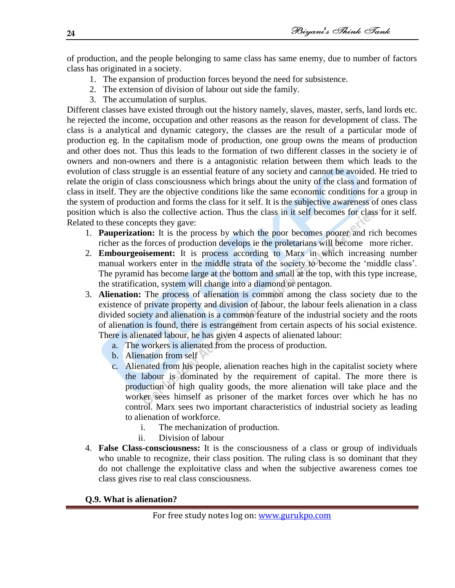of production, and the people belonging to same class has same enemy, due to number of factors class has originated in a society.

- 1. The expansion of production forces beyond the need for subsistence.
- 2. The extension of division of labour out side the family.
- 3. The accumulation of surplus.

Different classes have existed through out the history namely, slaves, master, serfs, land lords etc. he rejected the income, occupation and other reasons as the reason for development of class. The class is a analytical and dynamic category, the classes are the result of a particular mode of production eg. In the capitalism mode of production, one group owns the means of production and other does not. Thus this leads to the formation of two different classes in the society ie of owners and non-owners and there is a antagonistic relation between them which leads to the evolution of class struggle is an essential feature of any society and cannot be avoided. He tried to relate the origin of class consciousness which brings about the unity of the class and formation of class in itself. They are the objective conditions like the same economic conditions for a group in the system of production and forms the class for it self. It is the subjective awareness of ones class position which is also the collective action. Thus the class in it self becomes for class for it self. Related to these concepts they gave:

- 1. **Pauperization:** It is the process by which the poor becomes poorer and rich becomes richer as the forces of production develops ie the proletarians will become more richer.
- 2. **Embourgeoisement:** It is process according to Marx in which increasing number manual workers enter in the middle strata of the society to become the 'middle class'. The pyramid has become large at the bottom and small at the top, with this type increase, the stratification, system will change into a diamond or pentagon.
- 3. **Alienation:** The process of alienation is common among the class society due to the existence of private property and division of labour, the labour feels alienation in a class divided society and alienation is a common feature of the industrial society and the roots of alienation is found, there is estrangement from certain aspects of his social existence. There is alienated labour, he has given 4 aspects of alienated labour:
	- a. The workers is alienated from the process of production.
	- b. Alienation from self
	- c. Alienated from his people, alienation reaches high in the capitalist society where the labour is dominated by the requirement of capital. The more there is production of high quality goods, the more alienation will take place and the worker sees himself as prisoner of the market forces over which he has no control. Marx sees two important characteristics of industrial society as leading to alienation of workforce.
		- i. The mechanization of production.
		- ii. Division of labour
- 4. **False Class-consciousness:** It is the consciousness of a class or group of individuals who unable to recognize, their class position. The ruling class is so dominant that they do not challenge the exploitative class and when the subjective awareness comes toe class gives rise to real class consciousness.

**Q.9. What is alienation?**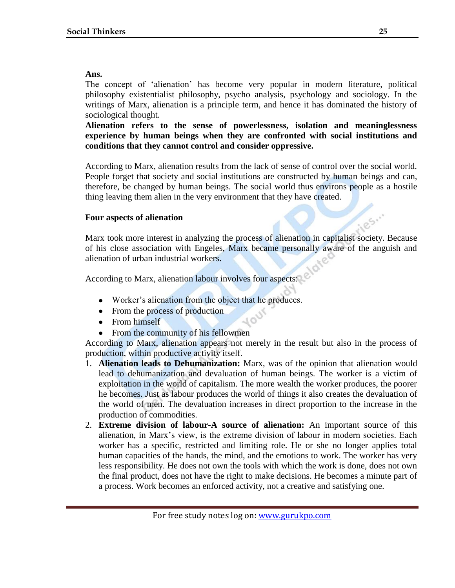## **Ans.**

The concept of 'alienation' has become very popular in modern literature, political philosophy existentialist philosophy, psycho analysis, psychology and sociology. In the writings of Marx, alienation is a principle term, and hence it has dominated the history of sociological thought.

**Alienation refers to the sense of powerlessness, isolation and meaninglessness experience by human beings when they are confronted with social institutions and conditions that they cannot control and consider oppressive.** 

According to Marx, alienation results from the lack of sense of control over the social world. People forget that society and social institutions are constructed by human beings and can, therefore, be changed by human beings. The social world thus environs people as a hostile thing leaving them alien in the very environment that they have created.

## **Four aspects of alienation**

Marx took more interest in analyzing the process of alienation in capitalist society. Because of his close association with Engeles, Marx became personally aware of the anguish and alienation of urban industrial workers.

According to Marx, alienation labour involves four aspects:

- Worker's alienation from the object that he produces.
- From the process of production
- From himself
- $\bullet$ From the community of his fellowmen

According to Marx, alienation appears not merely in the result but also in the process of production, within productive activity itself.

- 1. **Alienation leads to Dehumanization:** Marx, was of the opinion that alienation would lead to dehumanization and devaluation of human beings. The worker is a victim of exploitation in the world of capitalism. The more wealth the worker produces, the poorer he becomes. Just as labour produces the world of things it also creates the devaluation of the world of men. The devaluation increases in direct proportion to the increase in the production of commodities.
- 2. **Extreme division of labour-A source of alienation:** An important source of this alienation, in Marx's view, is the extreme division of labour in modern societies. Each worker has a specific, restricted and limiting role. He or she no longer applies total human capacities of the hands, the mind, and the emotions to work. The worker has very less responsibility. He does not own the tools with which the work is done, does not own the final product, does not have the right to make decisions. He becomes a minute part of a process. Work becomes an enforced activity, not a creative and satisfying one.

es.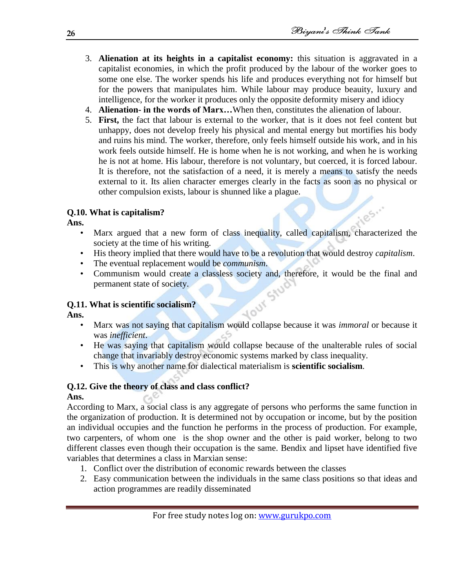1185.1

- 3. **Alienation at its heights in a capitalist economy:** this situation is aggravated in a capitalist economies, in which the profit produced by the labour of the worker goes to some one else. The worker spends his life and produces everything not for himself but for the powers that manipulates him. While labour may produce beauity, luxury and intelligence, for the worker it produces only the opposite deformity misery and idiocy
- 4. **Alienation- in the words of Marx…**When then, constitutes the alienation of labour.
- 5. **First,** the fact that labour is external to the worker, that is it does not feel content but unhappy, does not develop freely his physical and mental energy but mortifies his body and ruins his mind. The worker, therefore, only feels himself outside his work, and in his work feels outside himself. He is home when he is not working, and when he is working he is not at home. His labour, therefore is not voluntary, but coerced, it is forced labour. It is therefore, not the satisfaction of a need, it is merely a means to satisfy the needs external to it. Its alien character emerges clearly in the facts as soon as no physical or other compulsion exists, labour is shunned like a plague.

# **Q.10. What is capitalism?**

**Ans.**

- Marx argued that a new form of class inequality, called capitalism, characterized the society at the time of his writing.
- His theory implied that there would have to be a revolution that would destroy *capitalism*.
- The eventual replacement would be *communism*.
- Communism would create a classless society and, therefore, it would be the final and permanent state of society.

# **Q.11. What is scientific socialism?**

**Ans.**

- Marx was not saying that capitalism would collapse because it was *immoral* or because it was *inefficient*.
- He was saying that capitalism would collapse because of the unalterable rules of social change that invariably destroy economic systems marked by class inequality.
- This is why another name for dialectical materialism is **scientific socialism**.

# **Q.12. Give the theory of class and class conflict? Ans.**

According to Marx, a social class is any aggregate of persons who performs the same function in the organization of production. It is determined not by occupation or income, but by the position an individual occupies and the function he performs in the process of production. For example, two carpenters, of whom one is the shop owner and the other is paid worker, belong to two different classes even though their occupation is the same. Bendix and lipset have identified five variables that determines a class in Marxian sense:

- 1. Conflict over the distribution of economic rewards between the classes
- 2. Easy communication between the individuals in the same class positions so that ideas and action programmes are readily disseminated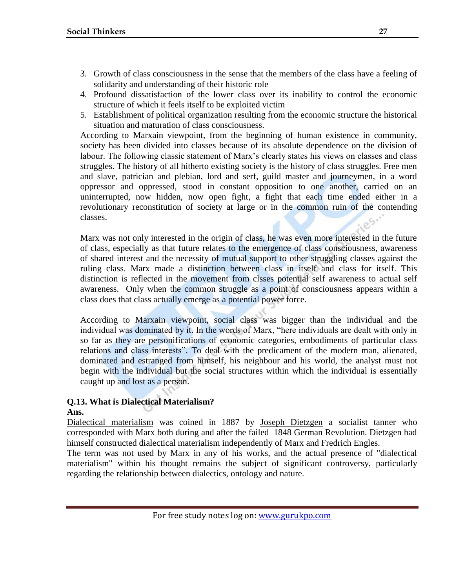- 3. Growth of class consciousness in the sense that the members of the class have a feeling of solidarity and understanding of their historic role
- 4. Profound dissatisfaction of the lower class over its inability to control the economic structure of which it feels itself to be exploited victim
- 5. Establishment of political organization resulting from the economic structure the historical situation and maturation of class consciousness.

According to Marxain viewpoint, from the beginning of human existence in community, society has been divided into classes because of its absolute dependence on the division of labour. The following classic statement of Marx's clearly states his views on classes and class struggles. The history of all hitherto existing society is the history of class struggles. Free men and slave, patrician and plebian, lord and serf, guild master and journeymen, in a word oppressor and oppressed, stood in constant opposition to one another, carried on an uninterrupted, now hidden, now open fight, a fight that each time ended either in a revolutionary reconstitution of society at large or in the common ruin of the contending classes.

Marx was not only interested in the origin of class, he was even more interested in the future of class, especially as that future relates to the emergence of class consciousness, awareness of shared interest and the necessity of mutual support to other struggling classes against the ruling class. Marx made a distinction between class in itself and class for itself. This distinction is reflected in the movement from clsses potential self awareness to actual self awareness. Only when the common struggle as a point of consciousness appears within a class does that class actually emerge as a potential power force.

According to Marxain viewpoint, social class was bigger than the individual and the individual was dominated by it. In the words of Marx, "here individuals are dealt with only in so far as they are personifications of economic categories, embodiments of particular class relations and class interests". To deal with the predicament of the modern man, alienated, dominated and estranged from himself, his neighbour and his world, the analyst must not begin with the individual but the social structures within which the individual is essentially caught up and lost as a person.

# **Q.13. What is Dialectical Materialism?**

#### **Ans.**

Dialectical materialism was coined in 1887 by Joseph Dietzgen a socialist tanner who corresponded with Marx both during and after the failed 1848 German Revolution. Dietzgen had himself constructed dialectical materialism independently of Marx and Fredrich Engles.

The term was not used by Marx in any of his works, and the actual presence of "dialectical materialism" within his thought remains the subject of significant controversy, particularly regarding the relationship between dialectics, ontology and nature.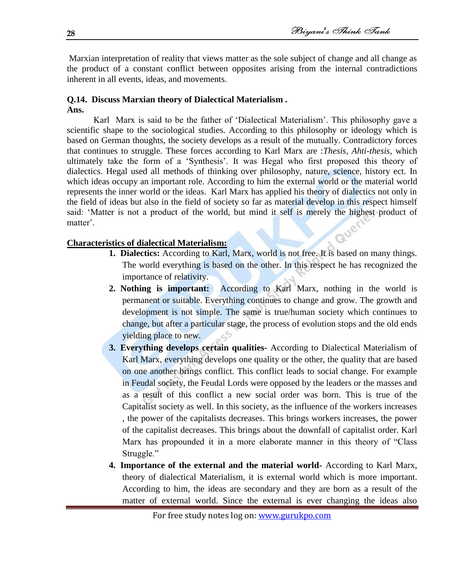Marxian interpretation of reality that views matter as the sole subject of change and all change as the product of a constant conflict between opposites arising from the internal contradictions inherent in all events, ideas, and movements.

#### **Q.14. Discuss Marxian theory of Dialectical Materialism . Ans.**

Karl Marx is said to be the father of 'Dialectical Materialism'. This philosophy gave a scientific shape to the sociological studies. According to this philosophy or ideology which is based on German thoughts, the society develops as a result of the mutually. Contradictory forces that continues to struggle. These forces according to Karl Marx are :*Thesis, Ahti-thesis,* which ultimately take the form of a ‗Synthesis'. It was Hegal who first proposed this theory of dialectics. Hegal used all methods of thinking over philosophy, nature, science, history ect. In which ideas occupy an important role. According to him the external world or the material world represents the inner world or the ideas. Karl Marx has applied his theory of dialectics not only in the field of ideas but also in the field of society so far as material develop in this respect himself said: 'Matter is not a product of the world, but mind it self is merely the highest product of matter'.

## **Characteristics of dialectical Materialism:**

- **1. Dialectics:** According to Karl, Marx, world is not free. It is based on many things. The world everything is based on the other. In this respect he has recognized the importance of relativity.
- **2. Nothing is important:** According to Karl Marx, nothing in the world is permanent or suitable. Everything continues to change and grow. The growth and development is not simple. The same is true/human society which continues to change, but after a particular stage, the process of evolution stops and the old ends yielding place to new.
- **3. Everything develops certain qualities-** According to Dialectical Materialism of Karl Marx, everything develops one quality or the other, the quality that are based on one another brings conflict. This conflict leads to social change. For example in Feudal society, the Feudal Lords were opposed by the leaders or the masses and as a result of this conflict a new social order was born. This is true of the Capitalist society as well. In this society, as the influence of the workers increases , the power of the capitalists decreases. This brings workers increases, the power of the capitalist decreases. This brings about the downfall of capitalist order. Karl Marx has propounded it in a more elaborate manner in this theory of "Class" Struggle."
- **4. Importance of the external and the material world-** According to Karl Marx, theory of dialectical Materialism, it is external world which is more important. According to him, the ideas are secondary and they are born as a result of the matter of external world. Since the external is ever changing the ideas also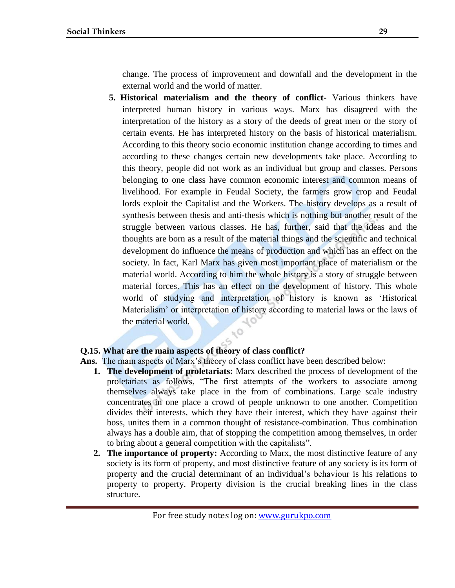change. The process of improvement and downfall and the development in the external world and the world of matter.

**5. Historical materialism and the theory of conflict-** Various thinkers have interpreted human history in various ways. Marx has disagreed with the interpretation of the history as a story of the deeds of great men or the story of certain events. He has interpreted history on the basis of historical materialism. According to this theory socio economic institution change according to times and according to these changes certain new developments take place. According to this theory, people did not work as an individual but group and classes. Persons belonging to one class have common economic interest and common means of livelihood. For example in Feudal Society, the farmers grow crop and Feudal lords exploit the Capitalist and the Workers. The history develops as a result of synthesis between thesis and anti-thesis which is nothing but another result of the struggle between various classes. He has, further, said that the ideas and the thoughts are born as a result of the material things and the scientific and technical development do influence the means of production and which has an effect on the society. In fact, Karl Marx has given most important place of materialism or the material world. According to him the whole history is a story of struggle between material forces. This has an effect on the development of history. This whole world of studying and interpretation of history is known as 'Historical Materialism' or interpretation of history according to material laws or the laws of the material world. 10  $\sim$ 

## **Q.15. What are the main aspects of theory of class conflict?**

**Ans.** The main aspects of Marx's theory of class conflict have been described below:

- **1. The development of proletariats:** Marx described the process of development of the proletariats as follows, "The first attempts of the workers to associate among themselves always take place in the from of combinations. Large scale industry concentrates in one place a crowd of people unknown to one another. Competition divides their interests, which they have their interest, which they have against their boss, unites them in a common thought of resistance-combination. Thus combination always has a double aim, that of stopping the competition among themselves, in order to bring about a general competition with the capitalists".
- **2. The importance of property:** According to Marx, the most distinctive feature of any society is its form of property, and most distinctive feature of any society is its form of property and the crucial determinant of an individual's behaviour is his relations to property to property. Property division is the crucial breaking lines in the class structure.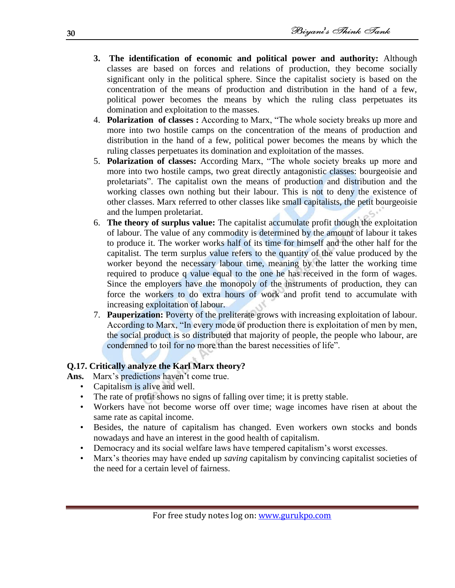- **3. The identification of economic and political power and authority:** Although classes are based on forces and relations of production, they become socially significant only in the political sphere. Since the capitalist society is based on the concentration of the means of production and distribution in the hand of a few, political power becomes the means by which the ruling class perpetuates its domination and exploitation to the masses.
- 4. **Polarization of classes :** According to Marx, "The whole society breaks up more and more into two hostile camps on the concentration of the means of production and distribution in the hand of a few, political power becomes the means by which the ruling classes perpetuates its domination and exploitation of the masses.
- 5. **Polarization of classes:** According Marx, "The whole society breaks up more and more into two hostile camps, two great directly antagonistic classes: bourgeoisie and proletariats". The capitalist own the means of production and distribution and the working classes own nothing but their labour. This is not to deny the existence of other classes. Marx referred to other classes like small capitalists, the petit bourgeoisie and the lumpen proletariat.
- 6. **The theory of surplus value:** The capitalist accumulate profit though the exploitation of labour. The value of any commodity is determined by the amount of labour it takes to produce it. The worker works half of its time for himself and the other half for the capitalist. The term surplus value refers to the quantity of the value produced by the worker beyond the necessary labour time, meaning by the latter the working time required to produce q value equal to the one he has received in the form of wages. Since the employers have the monopoly of the instruments of production, they can force the workers to do extra hours of work and profit tend to accumulate with increasing exploitation of labour.
- 7. **Pauperization:** Poverty of the preliterate grows with increasing exploitation of labour. According to Marx, "In every mode of production there is exploitation of men by men, the social product is so distributed that majority of people, the people who labour, are condemned to toil for no more than the barest necessities of life".

# **Q.17. Critically analyze the Karl Marx theory?**

**Ans.** Marx's predictions haven't come true.

- Capitalism is alive and well.
- The rate of profit shows no signs of falling over time; it is pretty stable.
- Workers have not become worse off over time; wage incomes have risen at about the same rate as capital income.
- Besides, the nature of capitalism has changed. Even workers own stocks and bonds nowadays and have an interest in the good health of capitalism.
- Democracy and its social welfare laws have tempered capitalism's worst excesses.
- Marx's theories may have ended up *saving* capitalism by convincing capitalist societies of the need for a certain level of fairness.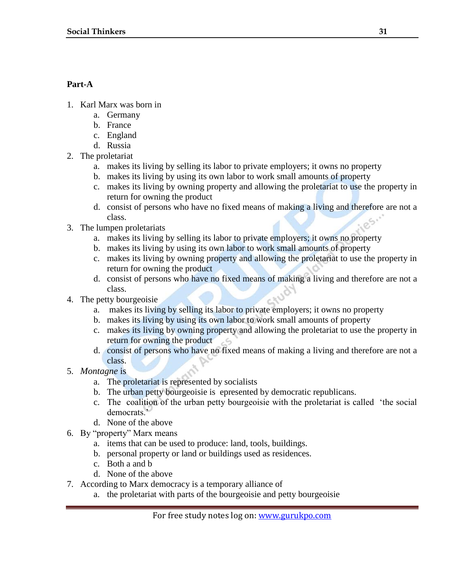# **Part-A**

- 1. Karl Marx was born in
	- a. Germany
	- b. France
	- c. England
	- d. Russia
- 2. The proletariat
	- a. makes its living by selling its labor to private employers; it owns no property
	- b. makes its living by using its own labor to work small amounts of property
	- c. makes its living by owning property and allowing the proletariat to use the property in return for owning the product
	- d. consist of persons who have no fixed means of making a living and therefore are not a class.
- 3. The lumpen proletariats
	- a. makes its living by selling its labor to private employers; it owns no property
	- b. makes its living by using its own labor to work small amounts of property
	- c. makes its living by owning property and allowing the proletariat to use the property in return for owning the product
	- d. consist of persons who have no fixed means of making a living and therefore are not a class.
- 4. The petty bourgeoisie
	- a. makes its living by selling its labor to private employers; it owns no property
	- b. makes its living by using its own labor to work small amounts of property
	- c. makes its living by owning property and allowing the proletariat to use the property in return for owning the product
	- d. consist of persons who have no fixed means of making a living and therefore are not a class.
- 5. *Montagne* is
	- a. The proletariat is represented by socialists
	- b. The urban petty bourgeoisie is epresented by democratic republicans.
	- c. The coalition of the urban petty bourgeoisie with the proletariat is called 'the social democrats<sup>"</sup>
	- d. None of the above
- 6. By "property" Marx means
	- a. items that can be used to produce: land, tools, buildings.
	- b. personal property or land or buildings used as residences.
	- c. Both a and b
	- d. None of the above
- 7. According to Marx democracy is a temporary alliance of
	- a. the proletariat with parts of the bourgeoisie and petty bourgeoisie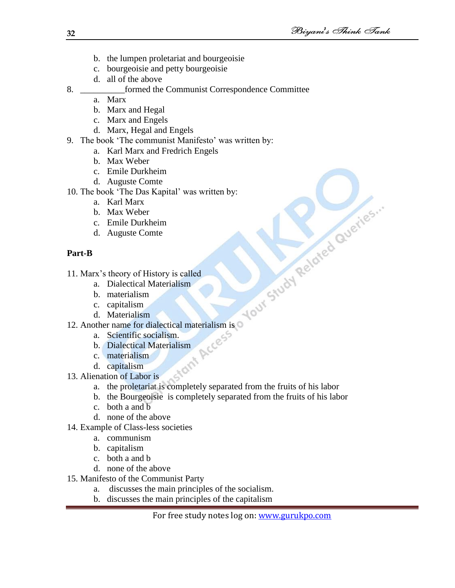- b. the lumpen proletariat and bourgeoisie
- c. bourgeoisie and petty bourgeoisie
- d. all of the above

# 8. \_\_\_\_\_\_\_\_\_\_formed the Communist Correspondence Committee

- a. Marx
- b. Marx and Hegal
- c. Marx and Engels
- d. Marx, Hegal and Engels
- 9. The book 'The communist Manifesto' was written by:
	- a. Karl Marx and Fredrich Engels
	- b. Max Weber
	- c. Emile Durkheim
	- d. Auguste Comte

- a. Karl Marx
- b. Max Weber
- c. Emile Durkheim
- d. Auguste Comte

# **Part-B**

11. Marx's theory of History is called

- a. Dialectical Materialism
- b. materialism
- c. capitalism
- d. Materialism
- 10. The book "The Das Kapital' was written by:<br>
a. Karl Marx<br>
b. Max Weber<br>
c. Emile Durkheim<br>
d. Auguste Comte<br>
Part-B<br>
11. Marx's theory of History is called<br>
a. Dialectical Materialism<br>
b. materialism<br>
d. Materialism<br> 12. Another name for dialectical materialism is<br>
a. Scientific socialism.<br>
b. Dialectical Materialism<br>
c. materialism<br>
d. capitalism<br>
13. Alien<sup>4+</sup>
	- a. Scientific socialism.
	- b. Dialectical Materialism
	- c. materialism
	- d. capitalism
- 13. Alienation of Labor is
	- a. the proletariat is completely separated from the fruits of his labor
	- b. the Bourgeoisie is completely separated from the fruits of his labor
	- c. both a and b
	- d. none of the above
- 14. Example of Class-less societies
	- a. communism
	- b. capitalism
	- c. both a and b
	- d. none of the above
- 15. Manifesto of the Communist Party
	- a. discusses the main principles of the socialism.
	- b. discusses the main principles of the capitalism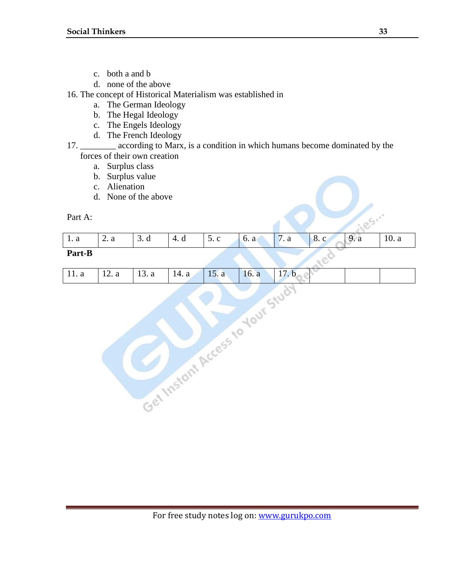- c. both a and b
- d. none of the above
- 16. The concept of Historical Materialism was established in
	- a. The German Ideology
	- b. The Hegal Ideology
	- c. The Engels Ideology
	- d. The French Ideology
- 17. \_\_\_\_\_\_\_\_ according to Marx, is a condition in which humans become dominated by the forces of their own creation
	- a. Surplus class
	- b. Surplus value
	- c. Alienation
	- d. None of the above

| Part A: |      |      |      |      |      |      |      |      |       |
|---------|------|------|------|------|------|------|------|------|-------|
| 1. a    | 2. a | 3. d | 4. d | 5. c | 6. a | 7. a | 8. c | 9. a | 10. a |
| Part-B  |      |      |      |      |      |      |      |      |       |

# 11. a 12. a 13. a 14. a 15. a 16. a 17. b<br>
17. b<br>
17. a 13. a 14. a 15. a 16. a 17. b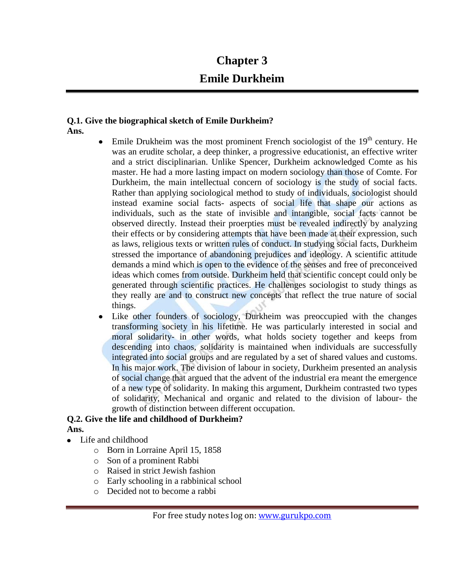# **Chapter 3 Emile Durkheim**

#### **Q.1. Give the biographical sketch of Emile Durkheim? Ans.**

- Emile Drukheim was the most prominent French sociologist of the  $19<sup>th</sup>$  century. He was an erudite scholar, a deep thinker, a progressive educationist, an effective writer and a strict disciplinarian. Unlike Spencer, Durkheim acknowledged Comte as his master. He had a more lasting impact on modern sociology than those of Comte. For Durkheim, the main intellectual concern of sociology is the study of social facts. Rather than applying sociological method to study of individuals, sociologist should instead examine social facts- aspects of social life that shape our actions as individuals, such as the state of invisible and intangible, social facts cannot be observed directly. Instead their proerpties must be revealed indirectly by analyzing their effects or by considering attempts that have been made at their expression, such as laws, religious texts or written rules of conduct. In studying social facts, Durkheim stressed the importance of abandoning prejudices and ideology. A scientific attitude demands a mind which is open to the evidence of the senses and free of preconceived ideas which comes from outside. Durkheim held that scientific concept could only be generated through scientific practices. He challenges sociologist to study things as they really are and to construct new concepts that reflect the true nature of social things.
- Like other founders of sociology, Durkheim was preoccupied with the changes  $\bullet$ transforming society in his lifetime. He was particularly interested in social and moral solidarity- in other words, what holds society together and keeps from descending into chaos, solidarity is maintained when individuals are successfully integrated into social groups and are regulated by a set of shared values and customs. In his major work. The division of labour in society, Durkheim presented an analysis of social change that argued that the advent of the industrial era meant the emergence of a new type of solidarity. In making this argument, Durkheim contrasted two types of solidarity, Mechanical and organic and related to the division of labour- the growth of distinction between different occupation.

# **Q.2. Give the life and childhood of Durkheim?**

- **Ans.**
- Life and childhood  $\bullet$ 
	- o Born in Lorraine April 15, 1858
	- o Son of a prominent Rabbi
	- o Raised in strict Jewish fashion
	- o Early schooling in a rabbinical school
	- o Decided not to become a rabbi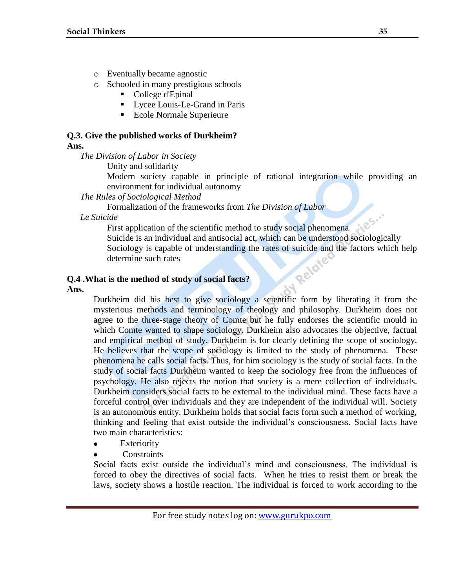- o Eventually became agnostic
- o Schooled in many prestigious schools
	- College d'Epinal
	- **Lycee Louis-Le-Grand in Paris**
	- Ecole Normale Superieure

# **Q.3. Give the published works of Durkheim?**

## **Ans.**

*The Division of Labor in Society*

Unity and solidarity

Modern society capable in principle of rational integration while providing an environment for individual autonomy

## *The Rules of Sociological Method*

Formalization of the frameworks from *The Division of Labor*

*Le Suicide*

185. First application of the scientific method to study social phenomena Suicide is an individual and antisocial act, which can be understood sociologically Sociology is capable of understanding the rates of suicide and the factors which help<br>determine such rates<br>is the method of study of social factors determine such rates

# **Q.4 .What is the method of study of social facts?**

**Ans.**

Durkheim did his best to give sociology a scientific form by liberating it from the mysterious methods and terminology of theology and philosophy. Durkheim does not agree to the three-stage theory of Comte but he fully endorses the scientific mould in which Comte wanted to shape sociology. Durkheim also advocates the objective, factual and empirical method of study. Durkheim is for clearly defining the scope of sociology. He believes that the scope of sociology is limited to the study of phenomena. These phenomena he calls social facts. Thus, for him sociology is the study of social facts. In the study of social facts Durkheim wanted to keep the sociology free from the influences of psychology. He also rejects the notion that society is a mere collection of individuals. Durkheim considers social facts to be external to the individual mind. These facts have a forceful control over individuals and they are independent of the individual will. Society is an autonomous entity. Durkheim holds that social facts form such a method of working, thinking and feeling that exist outside the individual's consciousness. Social facts have two main characteristics:

- Exteriority  $\bullet$
- **Constraints**

Social facts exist outside the individual's mind and consciousness. The individual is forced to obey the directives of social facts. When he tries to resist them or break the laws, society shows a hostile reaction. The individual is forced to work according to the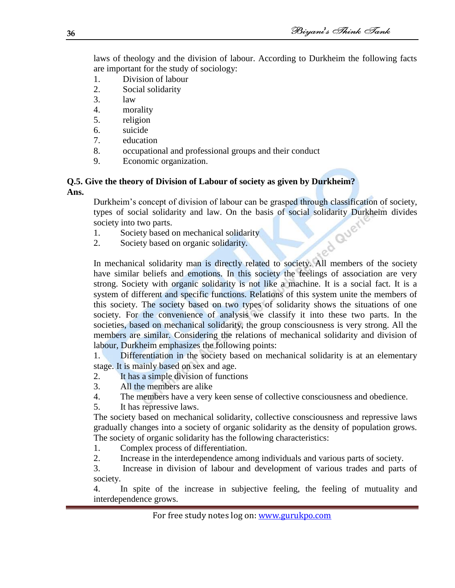laws of theology and the division of labour. According to Durkheim the following facts are important for the study of sociology:

- 1. Division of labour
- 2. Social solidarity
- 3. law
- 4. morality
- 5. religion
- 6. suicide
- 7. education
- 8. occupational and professional groups and their conduct<br>9. Economic organization.
- Economic organization.

## **Q.5. Give the theory of Division of Labour of society as given by Durkheim? Ans.**

Durkheim's concept of division of labour can be grasped through classification of society, types of social solidarity and law. On the basis of social solidarity Durkheim divides<br>society into two parts.<br>1. Society based on mechanical solidarity.<br>2. Society based on organic solidarity. society into two parts.

- 1. Society based on mechanical solidarity
- 2. Society based on organic solidarity.

In mechanical solidarity man is directly related to society. All members of the society have similar beliefs and emotions. In this society the feelings of association are very strong. Society with organic solidarity is not like a machine. It is a social fact. It is a system of different and specific functions. Relations of this system unite the members of this society. The society based on two types of solidarity shows the situations of one society. For the convenience of analysis we classify it into these two parts. In the societies, based on mechanical solidarity, the group consciousness is very strong. All the members are similar. Considering the relations of mechanical solidarity and division of labour, Durkheim emphasizes the following points:

1. Differentiation in the society based on mechanical solidarity is at an elementary stage. It is mainly based on sex and age.

- 2. It has a simple division of functions
- 3. All the members are alike
- 4. The members have a very keen sense of collective consciousness and obedience.
- 5. It has repressive laws.

The society based on mechanical solidarity, collective consciousness and repressive laws gradually changes into a society of organic solidarity as the density of population grows. The society of organic solidarity has the following characteristics:

1. Complex process of differentiation.

2. Increase in the interdependence among individuals and various parts of society.

3. Increase in division of labour and development of various trades and parts of society.

4. In spite of the increase in subjective feeling, the feeling of mutuality and interdependence grows.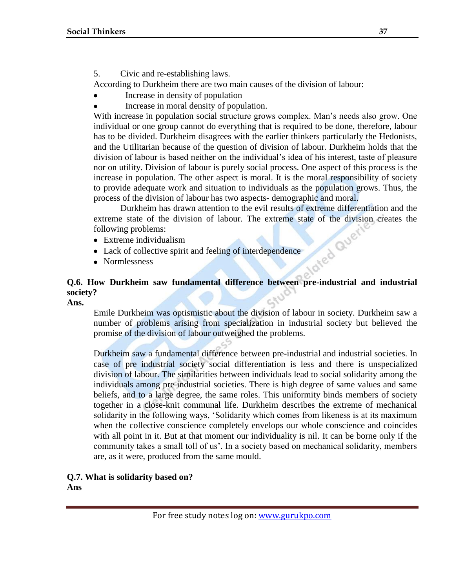5. Civic and re-establishing laws.

According to Durkheim there are two main causes of the division of labour:

- Increase in density of population  $\bullet$
- Increase in moral density of population.

With increase in population social structure grows complex. Man's needs also grow. One individual or one group cannot do everything that is required to be done, therefore, labour has to be divided. Durkheim disagrees with the earlier thinkers particularly the Hedonists, and the Utilitarian because of the question of division of labour. Durkheim holds that the division of labour is based neither on the individual's idea of his interest, taste of pleasure nor on utility. Division of labour is purely social process. One aspect of this process is the increase in population. The other aspect is moral. It is the moral responsibility of society to provide adequate work and situation to individuals as the population grows. Thus, the process of the division of labour has two aspects- demographic and moral.

Durkheim has drawn attention to the evil results of extreme differentiation and the extreme state of the division of labour. The extreme state of the division creates the following problems:<br>
• Extreme individualism<br>
• Lack of collective spirit and feeling of interdependence<br>
• Normlessness following problems:

- Extreme individualism
- Lack of collective spirit and feeling of interdependence
- Normlessness

# **Q.6. How Durkheim saw fundamental difference between pre-industrial and industrial society?**

**Ans.**

Emile Durkheim was optismistic about the division of labour in society. Durkheim saw a number of problems arising from specialization in industrial society but believed the promise of the division of labour outweighed the problems.

Durkheim saw a fundamental difference between pre-industrial and industrial societies. In case of pre industrial society social differentiation is less and there is unspecialized division of labour. The similarities between individuals lead to social solidarity among the individuals among pre industrial societies. There is high degree of same values and same beliefs, and to a large degree, the same roles. This uniformity binds members of society together in a close-knit communal life. Durkheim describes the extreme of mechanical solidarity in the following ways, 'Solidarity which comes from likeness is at its maximum when the collective conscience completely envelops our whole conscience and coincides with all point in it. But at that moment our individuality is nil. It can be borne only if the community takes a small toll of us'. In a society based on mechanical solidarity, members are, as it were, produced from the same mould.

# **Q.7. What is solidarity based on?**

**Ans**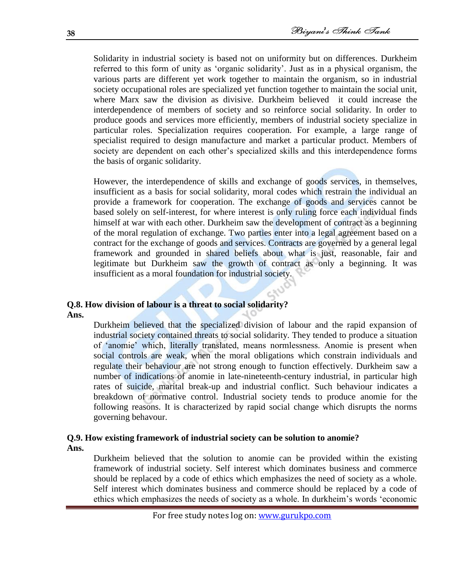Solidarity in industrial society is based not on uniformity but on differences. Durkheim referred to this form of unity as 'organic solidarity'. Just as in a physical organism, the various parts are different yet work together to maintain the organism, so in industrial society occupational roles are specialized yet function together to maintain the social unit, where Marx saw the division as divisive. Durkheim believed it could increase the interdependence of members of society and so reinforce social solidarity. In order to produce goods and services more efficiently, members of industrial society specialize in particular roles. Specialization requires cooperation. For example, a large range of specialist required to design manufacture and market a particular product. Members of society are dependent on each other's specialized skills and this interdependence forms the basis of organic solidarity.

However, the interdependence of skills and exchange of goods services, in themselves, insufficient as a basis for social solidarity, moral codes which restrain the individual an provide a framework for cooperation. The exchange of goods and services cannot be based solely on self-interest, for where interest is only ruling force each individual finds himself at war with each other. Durkheim saw the development of contract as a beginning of the moral regulation of exchange. Two parties enter into a legal agreement based on a contract for the exchange of goods and services. Contracts are governed by a general legal framework and grounded in shared beliefs about what is just, reasonable, fair and legitimate but Durkheim saw the growth of contract as only a beginning. It was insufficient as a moral foundation for industrial society.

# **Q.8. How division of labour is a threat to social solidarity?**

**Ans.**

Durkheim believed that the specialized division of labour and the rapid expansion of industrial society contained threats to social solidarity. They tended to produce a situation of ‗anomie' which, literally translated, means normlessness. Anomie is present when social controls are weak, when the moral obligations which constrain individuals and regulate their behaviour are not strong enough to function effectively. Durkheim saw a number of indications of anomie in late-nineteenth-century industrial, in particular high rates of suicide, marital break-up and industrial conflict. Such behaviour indicates a breakdown of normative control. Industrial society tends to produce anomie for the following reasons. It is characterized by rapid social change which disrupts the norms governing behavour.

#### **Q.9. How existing framework of industrial society can be solution to anomie? Ans.**

Durkheim believed that the solution to anomie can be provided within the existing framework of industrial society. Self interest which dominates business and commerce should be replaced by a code of ethics which emphasizes the need of society as a whole. Self interest which dominates business and commerce should be replaced by a code of ethics which emphasizes the needs of society as a whole. In durkheim's words ‗economic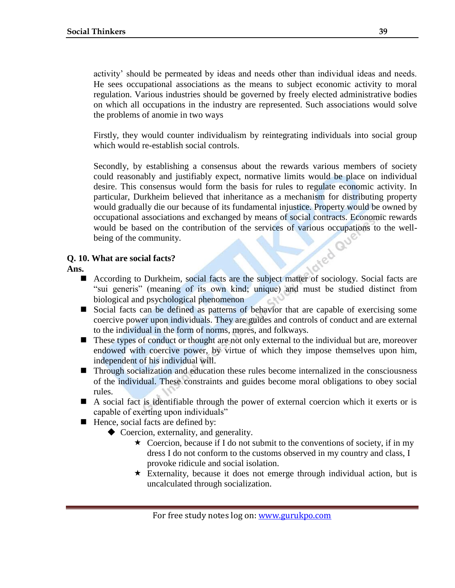activity' should be permeated by ideas and needs other than individual ideas and needs. He sees occupational associations as the means to subject economic activity to moral regulation. Various industries should be governed by freely elected administrative bodies on which all occupations in the industry are represented. Such associations would solve the problems of anomie in two ways

Firstly, they would counter individualism by reintegrating individuals into social group which would re-establish social controls.

Secondly, by establishing a consensus about the rewards various members of society could reasonably and justifiably expect, normative limits would be place on individual desire. This consensus would form the basis for rules to regulate economic activity. In particular, Durkheim believed that inheritance as a mechanism for distributing property would gradually die our because of its fundamental injustice. Property would be owned by occupational associations and exchanged by means of social contracts. Economic rewards would be based on the contribution of the services of various occupations to the well-<br>being of the community.<br>What are social facts? being of the community.

## **Q. 10. What are social facts?**

## **Ans.**

- According to Durkheim, social facts are the subject matter of sociology. Social facts are "sui generis" (meaning of its own kind; unique) and must be studied distinct from biological and psychological phenomenon
- Social facts can be defined as patterns of behavior that are capable of exercising some coercive power upon individuals. They are guides and controls of conduct and are external to the individual in the form of norms, mores, and folkways.
- These types of conduct or thought are not only external to the individual but are, moreover endowed with coercive power, by virtue of which they impose themselves upon him, independent of his individual will.
- **Through socialization and education these rules become internalized in the consciousness** of the individual. These constraints and guides become moral obligations to obey social rules.
- A social fact is identifiable through the power of external coercion which it exerts or is capable of exerting upon individuals"
- $\blacksquare$  Hence, social facts are defined by:
	- ◆ Coercion, externality, and generality.
		- $\star$  Coercion, because if I do not submit to the conventions of society, if in my dress I do not conform to the customs observed in my country and class, I provoke ridicule and social isolation.
		- $\star$  Externality, because it does not emerge through individual action, but is uncalculated through socialization.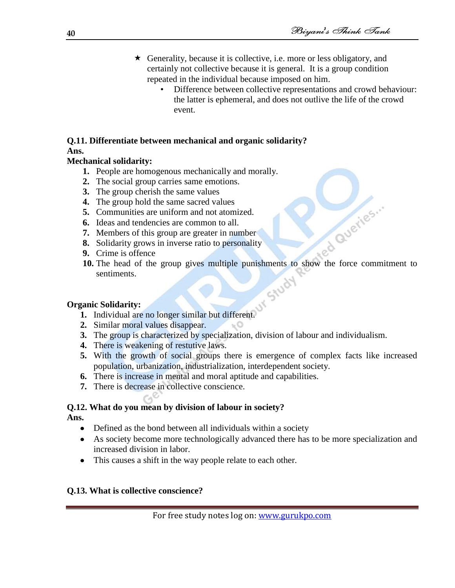- $\star$  Generality, because it is collective, i.e. more or less obligatory, and certainly not collective because it is general. It is a group condition repeated in the individual because imposed on him.
	- Difference between collective representations and crowd behaviour: the latter is ephemeral, and does not outlive the life of the crowd event.

# **Q.11. Differentiate between mechanical and organic solidarity? Ans.**

# **Mechanical solidarity:**

- **1.** People are homogenous mechanically and morally.
- **2.** The social group carries same emotions.
- **3.** The group cherish the same values
- **4.** The group hold the same sacred values
- **5.** Communities are uniform and not atomized.
- **6.** Ideas and tendencies are common to all.
- **7.** Members of this group are greater in number
- **8.** Solidarity grows in inverse ratio to personality
- **9.** Crime is offence
- 10. The head of the group gives multiple punishments to show the force commitment to<br>
10. The head of the group gives multiple punishments to show the force commitment to sentiments.

# **Organic Solidarity:**

- **1.** Individual are no longer similar but different.
- **2.** Similar moral values disappear.
- **3.** The group is characterized by specialization, division of labour and individualism.
- **4.** There is weakening of restutive laws.
- **5.** With the growth of social groups there is emergence of complex facts like increased population, urbanization, industrialization, interdependent society.
- **6.** There is increase in mental and moral aptitude and capabilities.
- **7.** There is decrease in collective conscience.

#### **Q.12. What do you mean by division of labour in society? Ans.**

- Defined as the bond between all individuals within a society
- As society become more technologically advanced there has to be more specialization and increased division in labor.
- This causes a shift in the way people relate to each other.

## **Q.13. What is collective conscience?**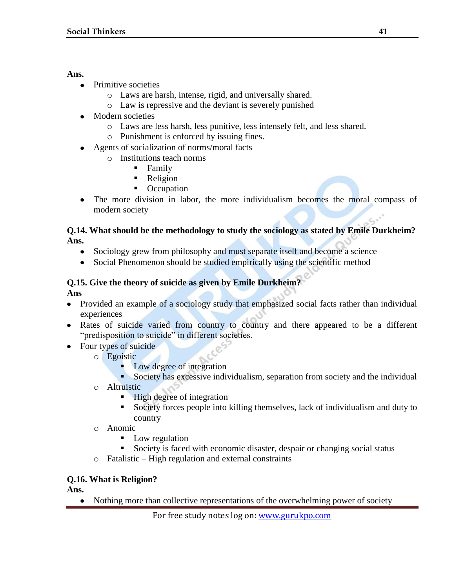## **Ans.**

- Primitive societies
	- o Laws are harsh, intense, rigid, and universally shared.
	- o Law is repressive and the deviant is severely punished
- Modern societies
	- o Laws are less harsh, less punitive, less intensely felt, and less shared.
	- o Punishment is enforced by issuing fines.
- Agents of socialization of norms/moral facts
	- o Institutions teach norms
		- **Family**
		- **Religion**
		- Occupation
- The more division in labor, the more individualism becomes the moral compass of modern society

## **Q.14. What should be the methodology to study the sociology as stated by Emile Durkheim? Ans.**

- Sociology grew from philosophy and must separate itself and become a science
- Social Phenomenon should be studied empirically using the scientific method

# **Q.15. Give the theory of suicide as given by Emile Durkheim?**

**Ans**

- Provided an example of a sociology study that emphasized social facts rather than individual  $\bullet$ experiences
- Rates of suicide varied from country to country and there appeared to be a different "predisposition to suicide" in different societies.
- Four types of suicide
	- o Egoistic
		- **Low degree of integration**
		- Society has excessive individualism, separation from society and the individual
	- o Altruistic
		- **High degree of integration**
		- Society forces people into killing themselves, lack of individualism and duty to country
	- o Anomic
		- **Low regulation**
		- Society is faced with economic disaster, despair or changing social status
	- o Fatalistic High regulation and external constraints

## **Q.16. What is Religion?**

## **Ans.**

Nothing more than collective representations of the overwhelming power of society $\bullet$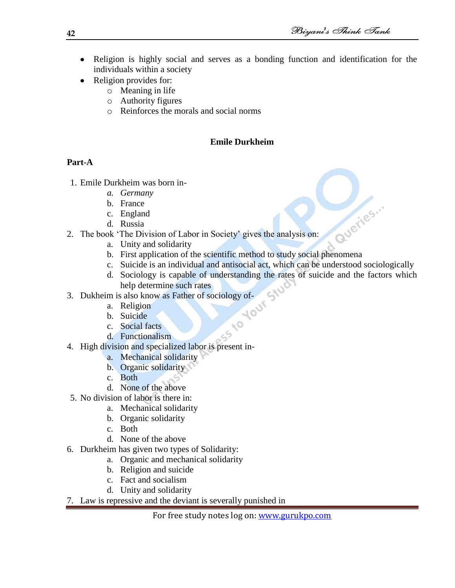- Religion is highly social and serves as a bonding function and identification for the individuals within a society
- Religion provides for:
	- o Meaning in life
	- o Authority figures
	- o Reinforces the morals and social norms

# **Emile Durkheim**

## **Part-A**

- 1. Emile Durkheim was born in
	- *a. Germany*
	- b. France
	- c. England
	- d. Russia
- 2. The book 'The Division of Labor in Society' gives the analysis on: b. First application of the scientific method to study social phenomena<br>b. First application of the scientific method to study social phenomena<br>b. First application of the scientific method to study social phenomena
	- a. Unity and solidarity
	-
	- c. Suicide is an individual and antisocial act, which can be understood sociologically
	- d. Sociology is capable of understanding the rates of suicide and the factors which help determine such rates
- 3. Dukheim is also know as Father of sociology of-<br>a. Religion<br>b. Suicide<br>c. Social form
	- a. Religion
	- b. Suicide
	- c. Social facts
	- d. Functionalism
- 4. High division and specialized labor is present in
	- a. Mechanical solidarity
	- b. Organic solidarity
	- c. Both
	- d. None of the above
- 5. No division of labor is there in:
	- a. Mechanical solidarity
	- b. Organic solidarity
	- c. Both
	- d. None of the above
- 6. Durkheim has given two types of Solidarity:
	- a. Organic and mechanical solidarity
	- b. Religion and suicide
	- c. Fact and socialism
	- d. Unity and solidarity
- 7. Law is repressive and the deviant is severally punished in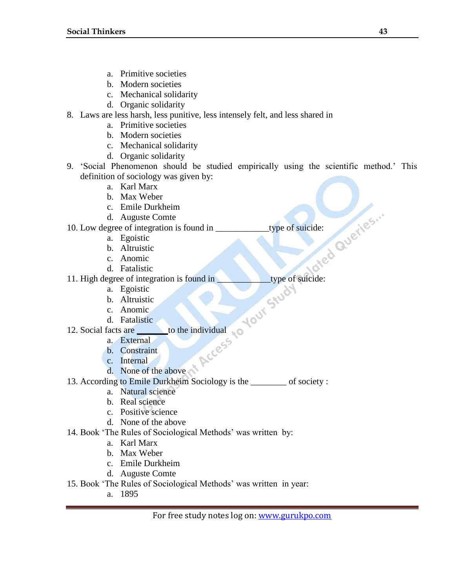- a. Primitive societies
- b. Modern societies
- c. Mechanical solidarity
- d. Organic solidarity
- 8. Laws are less harsh, less punitive, less intensely felt, and less shared in
	- a. Primitive societies
	- b. Modern societies
	- c. Mechanical solidarity
	- d. Organic solidarity
- 9. ‗Social Phenomenon should be studied empirically using the scientific method.' This definition of sociology was given by:
	- a. Karl Marx
	- b. Max Weber
	- c. Emile Durkheim
	- d. Auguste Comte

10. Low degree of integration is found in type of suicide:<br>
a. Egoistic<br>
b. Altruistic<br>
c. Anomic<br>
d. Fatalistic

- a. Egoistic
- b. Altruistic
- c. Anomic
- d. Fatalistic
- 11. High degree of integration is found in type of suicide:<br>
a. Egoistic<br>
b. Altruistic<br>
c. Anomic<br>
d. Fatalistic<br>
12. Social fect
	- a. Egoistic
	- b. Altruistic
	- c. Anomic
	- d. Fatalistic
- 12. Social facts are <u>\_\_\_\_\_\_</u>to the individual<br>a. External<br>b. Constraint
	- a. External
	- b. Constraint
	- c. Internal
	- d. None of the above
- 13. According to Emile Durkheim Sociology is the \_\_\_\_\_\_\_\_ of society :
	- a. Natural science
	- b. Real science
	- c. Positive science
	- d. None of the above
- 14. Book 'The Rules of Sociological Methods' was written by:
	- a. Karl Marx
	- b. Max Weber
	- c. Emile Durkheim
	- d. Auguste Comte
- 15. Book ‗The Rules of Sociological Methods' was written in year:
	- a. 1895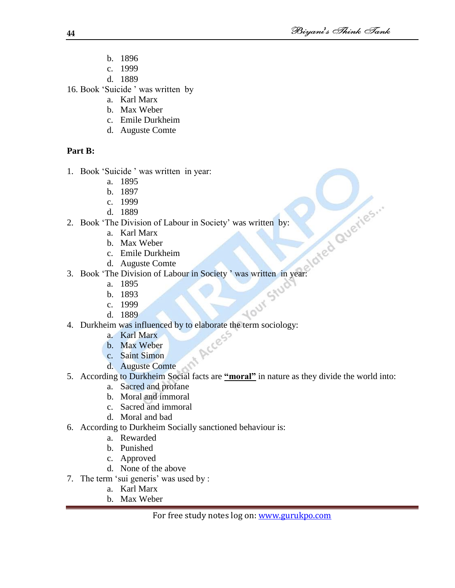- b. 1896
- c. 1999
- d. 1889
- 16. Book 'Suicide' was written by
	- a. Karl Marx
	- b. Max Weber
	- c. Emile Durkheim
	- d. Auguste Comte

# **Part B:**

- 1. Book 'Suicide' was written in year:
	- a. 1895
	- b. 1897
	- c. 1999
	- d. 1889
- 2. Book 'The Division of Labour in Society' was written by:
	- a. Karl Marx
	- b. Max Weber
	- c. Emile Durkheim
	- d. Auguste Comte
- 3. Book 'The Division of Labour in Society' was written in year:
	- a. 1895
	- b. 1893
	- c. 1999
	- d. 1889
- 4. Durkheim was influenced by to elaborate the term sociology:
	- a. Karl Marx
	- b. Max Weber
	- c. Saint Simon
	- d. Auguste Comte
- 5. According to Durkheim Social facts are **"moral"** in nature as they divide the world into:
	- a. Sacred and profane
	- b. Moral and immoral
	- c. Sacred and immoral
	- d. Moral and bad
- 6. According to Durkheim Socially sanctioned behaviour is:
	- a. Rewarded
	- b. Punished
	- c. Approved
	- d. None of the above
- 7. The term 'sui generis' was used by :
	- a. Karl Marx
	- b. Max Weber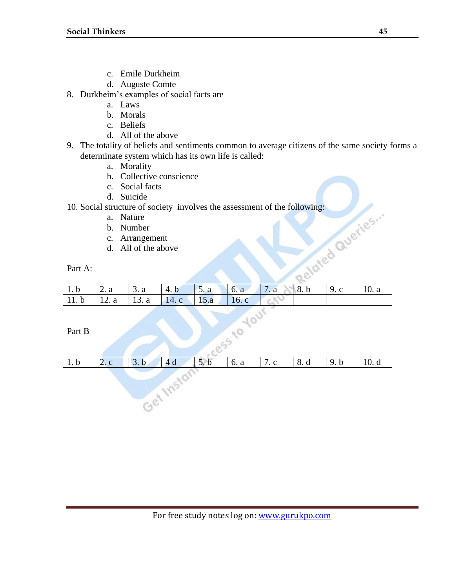- c. Emile Durkheim
- d. Auguste Comte
- 8. Durkheim's examples of social facts are
	- a. Laws
	- b. Morals
	- c. Beliefs
	- d. All of the above
- 9. The totality of beliefs and sentiments common to average citizens of the same society forms a determinate system which has its own life is called:
	- a. Morality
	- b. Collective conscience
	- c. Social facts
	- d. Suicide
- 10. Social structure of society involves the assessment of the following:
	- a. Nature
	- b. Number
	- c. Arrangement
	- d. All of the above

## Part A:

|                                          | d. Suicide         |                  |                                                                           |                |      |            |            |                |       |
|------------------------------------------|--------------------|------------------|---------------------------------------------------------------------------|----------------|------|------------|------------|----------------|-------|
|                                          |                    |                  | 10. Social structure of society involves the assessment of the following: |                |      |            |            |                |       |
|                                          | a.                 | Nature           |                                                                           |                |      |            |            |                |       |
|                                          | b.                 | Number           |                                                                           |                |      |            |            |                |       |
| Queries<br>Arrangement<br>$\mathbf{c}$ . |                    |                  |                                                                           |                |      |            |            |                |       |
|                                          | d.                 | All of the above |                                                                           |                |      |            |            |                |       |
|                                          |                    |                  |                                                                           |                |      |            |            |                |       |
| Part A:                                  |                    |                  |                                                                           |                |      |            |            |                |       |
|                                          |                    |                  |                                                                           |                |      |            |            |                |       |
| 1.b                                      |                    |                  |                                                                           |                |      | 7. a       | 8.b        | 9. c           | 10. a |
|                                          | 2. a               | 3. a             | 4. b                                                                      | 5. a           | 6. a |            |            |                |       |
| 11.b                                     | 12. a              | 13. a            | 14. c                                                                     | 15.a           | 16.c |            |            |                |       |
|                                          |                    |                  |                                                                           |                |      |            |            |                |       |
|                                          |                    |                  |                                                                           |                |      |            |            |                |       |
| Part B                                   |                    |                  |                                                                           |                |      |            |            |                |       |
|                                          |                    |                  |                                                                           |                | 5520 |            |            |                |       |
|                                          |                    |                  |                                                                           |                |      |            |            |                |       |
| 1 h                                      | $\gamma$<br>$\sim$ | 2 <sub>h</sub>   | $\overline{A}$                                                            | 5 <sub>h</sub> | 6a   | $7\degree$ | $Q \mid A$ | 0 <sub>h</sub> | 10d   |

| 1.b | 2. c | 3. b | 4 d | 5.<br>$\mathbf b$ | 6. a | 7. c | 8. d | 9.b | 10.d |
|-----|------|------|-----|-------------------|------|------|------|-----|------|
|     |      |      |     |                   |      |      |      |     |      |
|     |      |      |     |                   |      |      |      |     |      |
|     |      |      |     |                   |      |      |      |     |      |
|     |      |      |     |                   |      |      |      |     |      |
|     |      |      |     |                   |      |      |      |     |      |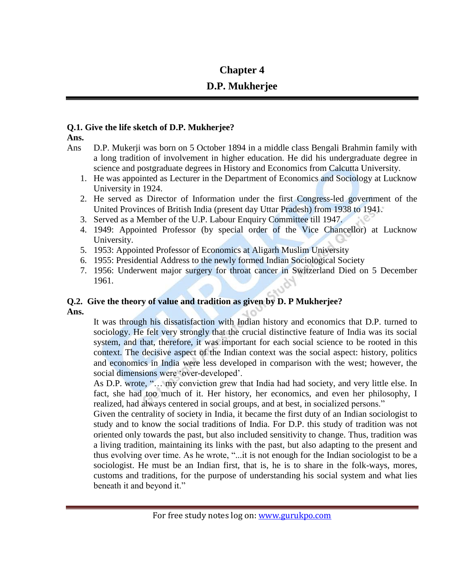# **Chapter 4**

# **D.P. Mukherjee**

# **Q.1. Give the life sketch of D.P. Mukherjee?**

**Ans.**

- Ans D.P. Mukerji was born on 5 October 1894 in a middle class Bengali Brahmin family with a long tradition of involvement in higher education. He did his undergraduate degree in science and postgraduate degrees in History and Economics from Calcutta University.
	- 1. He was appointed as Lecturer in the Department of Economics and Sociology at Lucknow University in 1924.
	- 2. He served as Director of Information under the first Congress-led government of the United Provinces of British India (present day Uttar Pradesh) from 1938 to 1941.
	- 3. Served as a Member of the U.P. Labour Enquiry Committee till 1947.
	- 4. 1949: Appointed Professor (by special order of the Vice Chancellor) at Lucknow University.
	- 5. 1953: Appointed Professor of Economics at Aligarh Muslim University
	- 6. 1955: Presidential Address to the newly formed Indian Sociological Society
	- 7. 1956: Underwent major surgery for throat cancer in Switzerland Died on 5 December 1961.

# **Q.2. Give the theory of value and tradition as given by D. P Mukherjee? Ans.**

It was through his dissatisfaction with Indian history and economics that D.P. turned to sociology. He felt very strongly that the crucial distinctive feature of India was its social system, and that, therefore, it was important for each social science to be rooted in this context. The decisive aspect of the Indian context was the social aspect: history, politics and economics in India were less developed in comparison with the west; however, the social dimensions were 'over-developed'.

As D.P. wrote, "... my conviction grew that India had had society, and very little else. In fact, she had too much of it. Her history, her economics, and even her philosophy, I realized, had always centered in social groups, and at best, in socialized persons."

Given the centrality of society in India, it became the first duty of an Indian sociologist to study and to know the social traditions of India. For D.P. this study of tradition was not oriented only towards the past, but also included sensitivity to change. Thus, tradition was a living tradition, maintaining its links with the past, but also adapting to the present and thus evolving over time. As he wrote, "...it is not enough for the Indian sociologist to be a sociologist. He must be an Indian first, that is, he is to share in the folk-ways, mores, customs and traditions, for the purpose of understanding his social system and what lies beneath it and beyond it."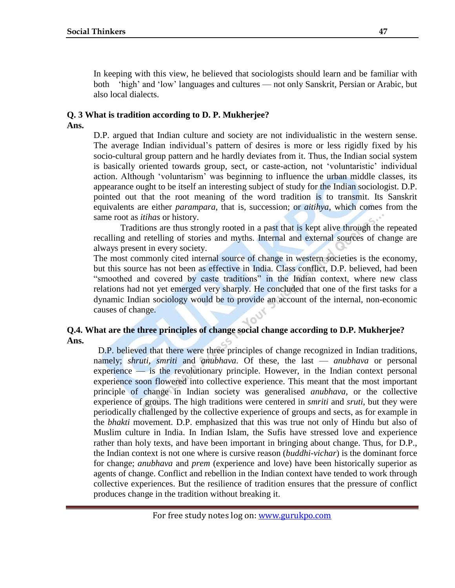In keeping with this view, he believed that sociologists should learn and be familiar with both ‗high' and ‗low' languages and cultures — not only Sanskrit, Persian or Arabic, but also local dialects.

# **Q. 3 What is tradition according to D. P. Mukherjee?**

**Ans.**

D.P. argued that Indian culture and society are not individualistic in the western sense. The average Indian individual's pattern of desires is more or less rigidly fixed by his socio-cultural group pattern and he hardly deviates from it. Thus, the Indian social system is basically oriented towards group, sect, or caste-action, not ‗voluntaristic' individual action. Although 'voluntarism' was beginning to influence the urban middle classes, its appearance ought to be itself an interesting subject of study for the Indian sociologist. D.P. pointed out that the root meaning of the word tradition is to transmit. Its Sanskrit equivalents are either *parampara*, that is, succession; or *aitihya*, which comes from the same root as *itihas* or history.

Traditions are thus strongly rooted in a past that is kept alive through the repeated recalling and retelling of stories and myths. Internal and external sources of change are always present in every society.

The most commonly cited internal source of change in western societies is the economy, but this source has not been as effective in India. Class conflict, D.P. believed, had been "smoothed and covered by caste traditions" in the Indian context, where new class relations had not yet emerged very sharply. He concluded that one of the first tasks for a dynamic Indian sociology would be to provide an account of the internal, non-economic causes of change.

## **Q.4. What are the three principles of change social change according to D.P. Mukherjee? Ans.**

D.P. believed that there were three principles of change recognized in Indian traditions, namely; *shruti, smriti* and *anubhava*. Of these, the last — *anubhava* or personal experience — is the revolutionary principle. However, in the Indian context personal experience soon flowered into collective experience. This meant that the most important principle of change in Indian society was generalised *anubhava,* or the collective experience of groups. The high traditions were centered in *smriti* and *sruti*, but they were periodically challenged by the collective experience of groups and sects, as for example in the *bhakti* movement. D.P. emphasized that this was true not only of Hindu but also of Muslim culture in India. In Indian Islam, the Sufis have stressed love and experience rather than holy texts, and have been important in bringing about change. Thus, for D.P., the Indian context is not one where is cursive reason (*buddhi-vichar*) is the dominant force for change; *anubhava* and *prem* (experience and love) have been historically superior as agents of change. Conflict and rebellion in the Indian context have tended to work through collective experiences. But the resilience of tradition ensures that the pressure of conflict produces change in the tradition without breaking it.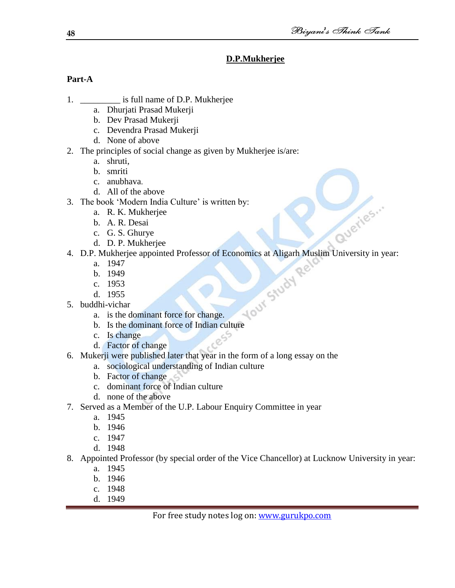Queries...

# **D.P.Mukherjee**

# **Part-A**

- 1. **is full name of D.P. Mukherjee** 
	- a. Dhurjati Prasad Mukerji
	- b. Dev Prasad Mukerji
	- c. Devendra Prasad Mukerji
	- d. None of above
- 2. The principles of social change as given by Mukherjee is/are:
	- a. shruti,
	- b. smriti
	- c. anubhava.
	- d. All of the above
- 3. The book 'Modern India Culture' is written by:
	- a. R. K. Mukherjee
	- b. A. R. Desai
	- c. G. S. Ghurye
	- d. D. P. Mukherjee
- 4. D.P. Mukherjee appointed Professor of Economics at Aligarh Muslim University in year:<br>
a. 1947<br>
b. 1949<br>
c. 1953<br>
d. 1955<br>
5. buddhi-vichar<br>
a. is the dominant
	- a. 1947
	- b. 1949
	- c. 1953
	- d. 1955
- 5. buddhi-vichar
	- a. is the dominant force for change.
	- b. Is the dominant force of Indian culture
	- c. Is change
	- d. Factor of change
- 6. Mukerji were published later that year in the form of a long essay on the
	- a. sociological understanding of Indian culture
	- b. Factor of change
	- c. dominant force of Indian culture
	- d. none of the above
- 7. Served as a Member of the U.P. Labour Enquiry Committee in year
	- a. 1945
	- b. 1946
	- c. 1947
	- d. 1948
- 8. Appointed Professor (by special order of the Vice Chancellor) at Lucknow University in year:
	- a. 1945
	- b. 1946
	- c. 1948
	- d. 1949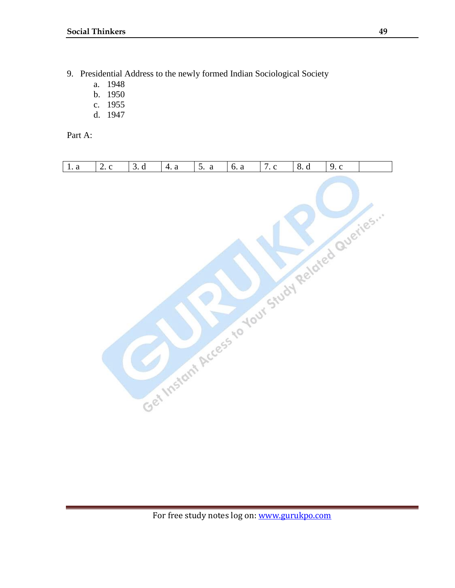- 9. Presidential Address to the newly formed Indian Sociological Society
	- a. 1948
	- b. 1950
	- c. 1955
	- d. 1947

Part A:

| 1. a | 2. c | 3. d | 4. a | 5. a | 6. a | 7. c | 8. d                                             | 9. c |  |
|------|------|------|------|------|------|------|--------------------------------------------------|------|--|
|      |      |      |      |      |      |      | Get Instant Access to your Study Related Ournine |      |  |
|      |      |      |      |      |      |      |                                                  |      |  |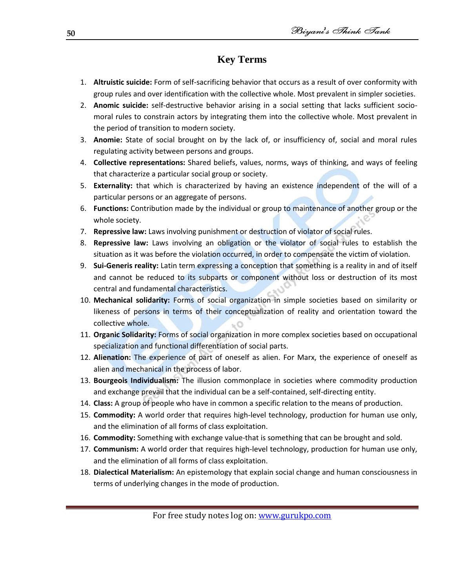# **Key Terms**

- 1. **Altruistic suicide:** Form of self-sacrificing behavior that occurs as a result of over conformity with group rules and over identification with the collective whole. Most prevalent in simpler societies.
- 2. **Anomic suicide:** self-destructive behavior arising in a social setting that lacks sufficient sociomoral rules to constrain actors by integrating them into the collective whole. Most prevalent in the period of transition to modern society.
- 3. **Anomie:** State of social brought on by the lack of, or insufficiency of, social and moral rules regulating activity between persons and groups.
- 4. **Collective representations:** Shared beliefs, values, norms, ways of thinking, and ways of feeling that characterize a particular social group or society.
- 5. **Externality:** that which is characterized by having an existence independent of the will of a particular persons or an aggregate of persons.
- 6. **Functions:** Contribution made by the individual or group to maintenance of another group or the whole society.
- 7. **Repressive law:** Laws involving punishment or destruction of violator of social rules.
- 8. **Repressive law:** Laws involving an obligation or the violator of social rules to establish the situation as it was before the violation occurred, in order to compensate the victim of violation.
- 9. **Sui-Generis reality:** Latin term expressing a conception that something is a reality in and of itself and cannot be reduced to its subparts or component without loss or destruction of its most central and fundamental characteristics.
- 10. **Mechanical solidarity:** Forms of social organization in simple societies based on similarity or likeness of persons in terms of their conceptualization of reality and orientation toward the collective whole.
- 11. **Organic Solidarity:** Forms of social organization in more complex societies based on occupational specialization and functional differentiation of social parts.
- 12. **Alienation:** The experience of part of oneself as alien. For Marx, the experience of oneself as alien and mechanical in the process of labor.
- 13. **Bourgeois Individualism:** The illusion commonplace in societies where commodity production and exchange prevail that the individual can be a self-contained, self-directing entity.
- 14. **Class:** A group of people who have in common a specific relation to the means of production.
- 15. **Commodity:** A world order that requires high-level technology, production for human use only, and the elimination of all forms of class exploitation.
- 16. **Commodity:** Something with exchange value-that is something that can be brought and sold.
- 17. **Communism:** A world order that requires high-level technology, production for human use only, and the elimination of all forms of class exploitation.
- 18. **Dialectical Materialism:** An epistemology that explain social change and human consciousness in terms of underlying changes in the mode of production.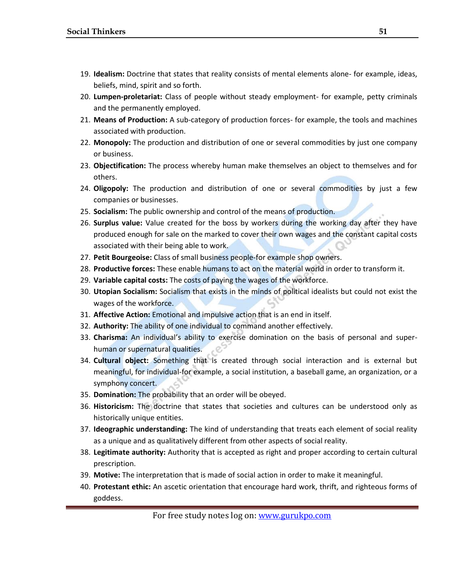- 19. **Idealism:** Doctrine that states that reality consists of mental elements alone- for example, ideas, beliefs, mind, spirit and so forth.
- 20. **Lumpen-proletariat:** Class of people without steady employment- for example, petty criminals and the permanently employed.
- 21. **Means of Production:** A sub-category of production forces- for example, the tools and machines associated with production.
- 22. **Monopoly:** The production and distribution of one or several commodities by just one company or business.
- 23. **Objectification:** The process whereby human make themselves an object to themselves and for others.
- 24. **Oligopoly:** The production and distribution of one or several commodities by just a few companies or businesses.
- 25. **Socialism:** The public ownership and control of the means of production.
- 26. **Surplus value:** Value created for the boss by workers during the working day after they have produced enough for sale on the marked to cover their own wages and the constant capital costs associated with their being able to work.
- 27. **Petit Bourgeoise:** Class of small business people-for example shop owners.
- 28. **Productive forces:** These enable humans to act on the material world in order to transform it.
- 29. **Variable capital costs:** The costs of paying the wages of the workforce.
- 30. **Utopian Socialism:** Socialism that exists in the minds of political idealists but could not exist the wages of the workforce.
- 31. **Affective Action:** Emotional and impulsive action that is an end in itself.
- 32. **Authority:** The ability of one individual to command another effectively.
- 33. **Charisma:** An individual's ability to exercise domination on the basis of personal and superhuman or supernatural qualities.
- 34. **Cultural object:** Something that is created through social interaction and is external but meaningful, for individual-for example, a social institution, a baseball game, an organization, or a symphony concert.
- 35. **Domination:** The probability that an order will be obeyed.
- 36. **Historicism:** The doctrine that states that societies and cultures can be understood only as historically unique entities.
- 37. **Ideographic understanding:** The kind of understanding that treats each element of social reality as a unique and as qualitatively different from other aspects of social reality.
- 38. **Legitimate authority:** Authority that is accepted as right and proper according to certain cultural prescription.
- 39. **Motive:** The interpretation that is made of social action in order to make it meaningful.
- 40. **Protestant ethic:** An ascetic orientation that encourage hard work, thrift, and righteous forms of goddess.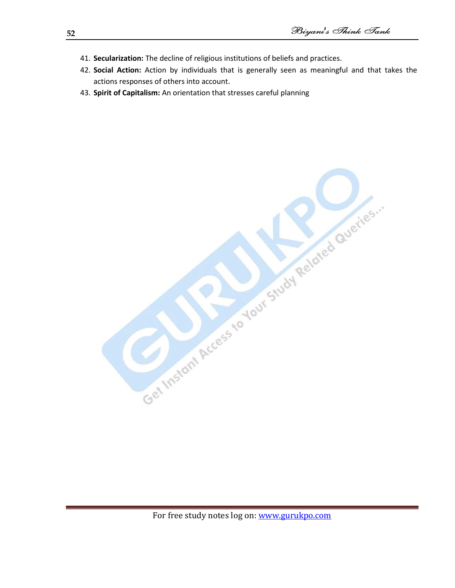- 41. **Secularization:** The decline of religious institutions of beliefs and practices.
- 42. **Social Action:** Action by individuals that is generally seen as meaningful and that takes the actions responses of others into account.
- 43. **Spirit of Capitalism:** An orientation that stresses careful planning

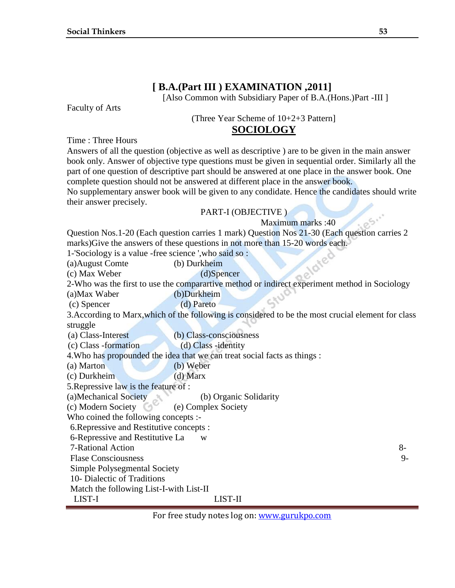# **[ B.A.(Part III ) EXAMINATION ,2011]**

[Also Common with Subsidiary Paper of B.A.(Hons.)Part -III ]

Faculty of Arts

(Three Year Scheme of 10+2+3 Pattern]

## **SOCIOLOGY**

Time : Three Hours

Answers of all the question (objective as well as descriptive ) are to be given in the main answer book only. Answer of objective type questions must be given in sequential order. Similarly all the part of one question of descriptive part should be answered at one place in the answer book. One complete question should not be answered at different place in the answer book.

No supplementary answer book will be given to any condidate. Hence the candidates should write their answer precisely.

## PART-I (OBJECTIVE )

Maximum marks :40

Question Nos.1-20 (Each question carries 1 mark) Question Nos 21-30 (Each question carries 2 marks)Give the answers of these questions in not more than 15-20 words each.

1-'Sociology is a value -free science ',who said so :

(a)August Comte (b) Durkheim

(c) Max Weber (d)Spencer

2-Who was the first to use the comparartive method or indirect experiment method in Sociology

(a)Max Waber (b)Durkheim

(c) Spencer (d) Pareto

3.According to Marx,which of the following is considered to be the most crucial element for class struggle

(a) Class-Interest (b) Class-consciousness

(c) Class -formation (d) Class -identity

4.Who has propounded the idea that we can treat social facts as things :

(a) Marton (b) Weber

(c) Durkheim (d) Marx

5.Repressive law is the feature of :

(a)Mechanical Society (b) Organic Solidarity

(c) Modern Society (e) Complex Society

Who coined the following concepts :-

6.Repressive and Restitutive concepts :

6-Repressive and Restitutive La w

7-Rational Action 8-

Flase Consciousness 9-

Simple Polysegmental Society

10- Dialectic of Traditions

Match the following List-I-with List-II

LIST-I LIST-II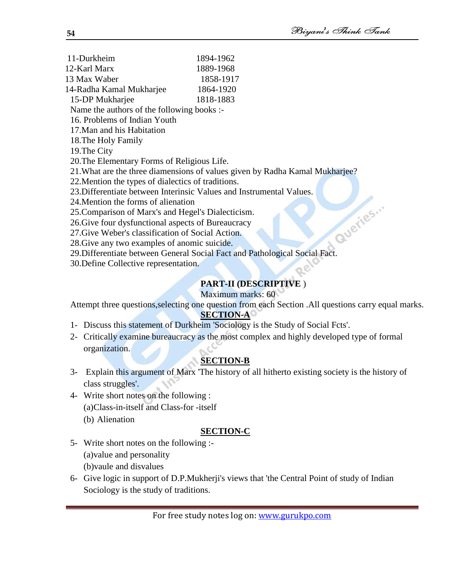- 11-Durkheim 1894-1962 12-Karl Marx 1889-1968 13 Max Waber 1858-1917 14-Radha Kamal Mukharjee 1864-1920 15-DP Mukharjee 1818-1883 Name the authors of the following books :- 16. Problems of Indian Youth 17.Man and his Habitation 18.The Holy Family 19.The City 20.The Elementary Forms of Religious Life. 21.What are the three diamensions of values given by Radha Kamal Mukharjee? 22.Mention the types of dialectics of traditions. 23.Differentiate between Interinsic Values and Instrumental Values. 24.Mention the forms of alienation 25.Comparison of Marx's and Hegel's Dialecticism. 26.Give four dysfunctional aspects of Bureaucracy 27.Give Weber's classification of Social Action. 28.Give any two examples of anomic suicide. 27. Give Weber's classification of Social Action.<br>28. Give any two examples of anomic suicide.<br>29. Differentiate between General Social Fact and Pathological Social Fact.
	-
- 30.Define Collective representation.

# **PART-II (DESCRIPTIVE** )

## Maximum marks: 60

Attempt three questions,selecting one question from each Section .All questions carry equal marks. **SECTION-A** 

- 1- Discuss this statement of Durkheim 'Sociology is the Study of Social Fcts'.
- 2- Critically examine bureaucracy as the most complex and highly developed type of formal organization.

# **SECTION-B**

- 3- Explain this argument of Marx 'The history of all hitherto existing society is the history of class struggles'.
- 4- Write short notes on the following : (a)Class-in-itself and Class-for -itself (b) Alienation

# **SECTION-C**

- 5- Write short notes on the following :- (a)value and personality (b)vaule and disvalues
- 6- Give logic in support of D.P.Mukherji's views that 'the Central Point of study of Indian Sociology is the study of traditions.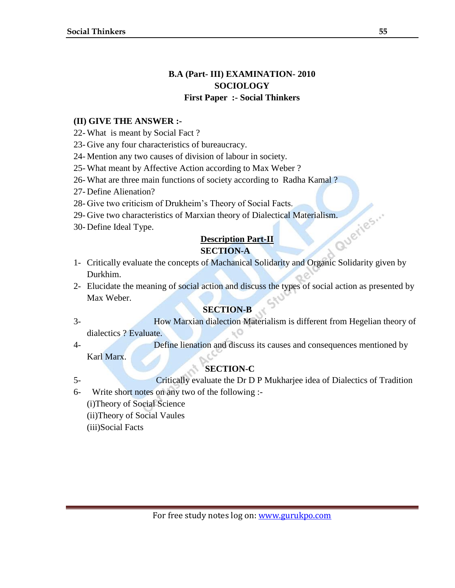# **B.A (Part- III) EXAMINATION- 2010 SOCIOLOGY First Paper :- Social Thinkers**

## **(II) GIVE THE ANSWER :-**

- 22- What is meant by Social Fact ?
- 23- Give any four characteristics of bureaucracy.
- 24- Mention any two causes of division of labour in society.
- 25- What meant by Affective Action according to Max Weber ?
- 26- What are three main functions of society according to Radha Kamal ?
- 27- Define Alienation?
- 28- Give two criticism of Drukheim's Theory of Social Facts.
- 29- Give two characteristics of Marxian theory of Dialectical Materialism.<br>30- Define Ideal Type.<br>**Description**
- 30- Define Ideal Type.

## **Description Part-II**

## **SECTION-A**

- 1- Critically evaluate the concepts of Machanical Solidarity and Organic Solidarity given by Durkhim.
- 2- Elucidate the meaning of social action and discuss the types of social action as presented by Max Weber.

## **SECTION-B**

- 3- How Marxian dialection Materialism is different from Hegelian theory of dialectics ? Evaluate.
- 4- Define lienation and discuss its causes and consequences mentioned by Karl Marx.

# **SECTION-C**

- 5- Critically evaluate the Dr D P Mukharjee idea of Dialectics of Tradition
- 6- Write short notes on any two of the following :-
	- (i)Theory of Social Science
	- (ii)Theory of Social Vaules
	- (iii)Social Facts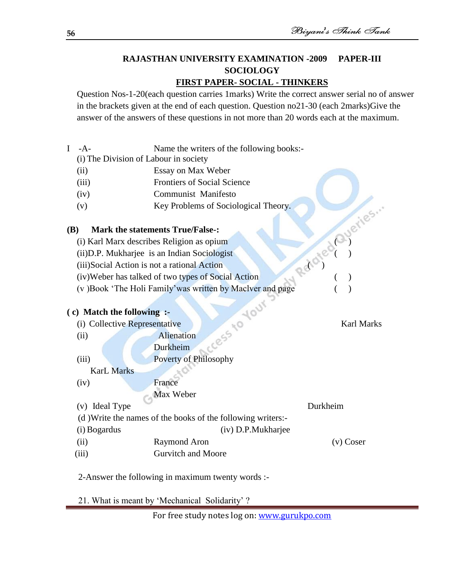# **RAJASTHAN UNIVERSITY EXAMINATION -2009 PAPER-III SOCIOLOGY**

# **FIRST PAPER- SOCIAL - THINKERS**

Question Nos-1-20(each question carries 1marks) Write the correct answer serial no of answer in the brackets given at the end of each question. Question no21-30 (each 2marks)Give the answer of the answers of these questions in not more than 20 words each at the maximum.

I -A- Name the writers of the following books:-

(i) The Division of Labour in society

- (ii) Essay on Max Weber
- (iii) Frontiers of Social Science
- (iv) Communist Manifesto
- (v) Key Problems of Sociological Theory.<br>
(i) Karl Marx describes Religion as opium<br>
(ii)D.P. Mukharjee is an Indian Sociologist<br>
(iii)Social Action is not a rational Action<br>
(iv)Weber has talked and the state of the stat

# **(B) Mark the statements True/False-:**

- (i) Karl Marx describes Religion as opium ( )
- $(ii)$ D.P. Mukharjee is an Indian Sociologist
- (iii)Social Action is not a rational Action ( )
- (iv)Weber has talked of two types of Social Action ( )
- (v) Book 'The Holi Family' was written by Maclver and page

# **( c) Match the following :-**

| <b>Karl Marks</b> |
|-------------------|
|                   |
|                   |
|                   |
|                   |
|                   |
|                   |
| Durkheim          |
|                   |
|                   |
| Coser<br>(V)      |
|                   |
|                   |

2-Answer the following in maximum twenty words :-

21. What is meant by 'Mechanical Solidarity' ?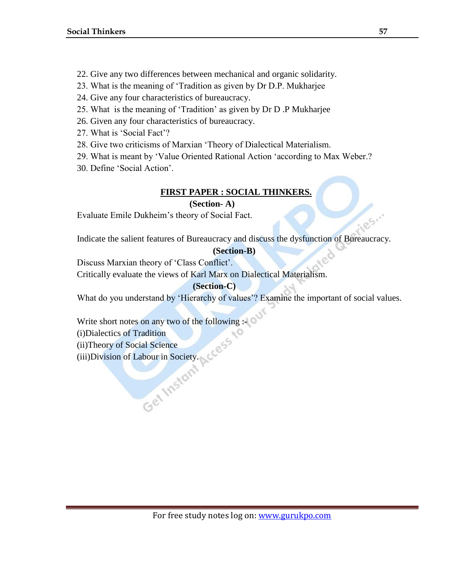- 22. Give any two differences between mechanical and organic solidarity.
- 23. What is the meaning of 'Tradition as given by Dr D.P. Mukharjee
- 24. Give any four characteristics of bureaucracy.
- 25. What is the meaning of 'Tradition' as given by Dr D .P Mukharjee
- 26. Given any four characteristics of bureaucracy.
- 27. What is 'Social Fact'?
- 28. Give two criticisms of Marxian 'Theory of Dialectical Materialism.
- 29. What is meant by 'Value Oriented Rational Action 'according to Max Weber.?
- 30. Define 'Social Action'.

# **FIRST PAPER : SOCIAL THINKERS.**

# **(Section- A)**

Evaluate Emile Dukheim's theory of Social Fact.

Indicate the salient features of Bureaucracy and discuss the dysfunction of Bureaucracy.

## **(Section-B)**

Discuss Marxian theory of 'Class Conflict'.

Critically evaluate the views of Karl Marx on Dialectical Materialism.

# **(Section-C)**

What do you understand by 'Hierarchy of values'? Examine the important of social values.

Write short notes on any two of the following :-

(i)Dialectics of Tradition

(ii)Theory of Social Science

(iii)Division of Labour in Society.

1.25.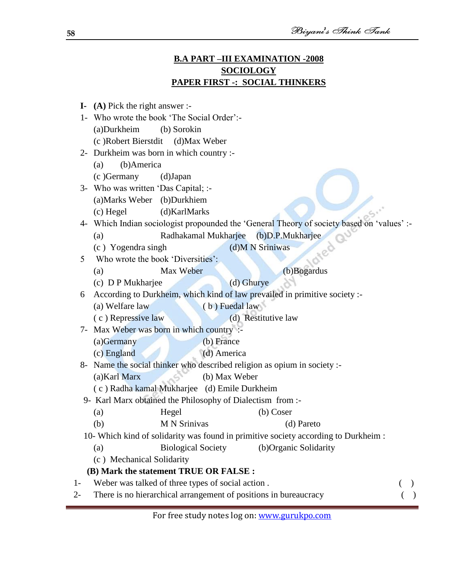# **B.A PART –III EXAMINATION -2008 SOCIOLOGY PAPER FIRST -: SOCIAL THINKERS**

|       | I- $(A)$ Pick the right answer :-                                                          |               |
|-------|--------------------------------------------------------------------------------------------|---------------|
|       | 1- Who wrote the book 'The Social Order':-                                                 |               |
|       | (a)Durkheim<br>(b) Sorokin                                                                 |               |
|       | (c) Robert Bierstdit (d) Max Weber                                                         |               |
| $2 -$ | Durkheim was born in which country :-                                                      |               |
|       | (b)America<br>(a)                                                                          |               |
|       | (c) Germany<br>(d)Japan                                                                    |               |
|       | 3- Who was written 'Das Capital; :-                                                        |               |
|       | (a) Marks Weber (b) Durkhiem                                                               |               |
|       | (d)KarlMarks<br>(c) Hegel                                                                  |               |
|       | 4- Which Indian sociologist propounded the 'General Theory of society based on 'values' :- |               |
|       | Radhakamal Mukharjee<br>(b)D.P.Mukharjee<br>(a)                                            |               |
|       | (d)M N Sriniwas<br>(c) Yogendra singh<br>ned                                               |               |
| 5     | Who wrote the book 'Diversities':                                                          |               |
|       | (b)Bogardus<br>Max Weber<br>(a)                                                            |               |
|       | (c) D P Mukharjee<br>(d) Ghurye                                                            |               |
| 6     | According to Durkheim, which kind of law prevailed in primitive society :-                 |               |
|       | (b) Fuedal law<br>(a) Welfare law                                                          |               |
|       | (d) Restitutive law<br>(c) Repressive law                                                  |               |
|       | 7- Max Weber was born in which country :-                                                  |               |
|       | (b) France<br>$(a)$ Germany                                                                |               |
|       | (d) America<br>(c) England                                                                 |               |
|       | 8- Name the social thinker who described religion as opium in society :-                   |               |
|       | (a) Karl Marx<br>(b) Max Weber                                                             |               |
|       | (c) Radha kamal Mukharjee (d) Emile Durkheim                                               |               |
|       | 9- Karl Marx obtained the Philosophy of Dialectism from :-                                 |               |
|       | $(b)$ Coser<br>Hegel<br>(a)                                                                |               |
|       | <b>M N Srinivas</b><br>(b)<br>(d) Pareto                                                   |               |
|       | 10- Which kind of solidarity was found in primitive society according to Durkheim :        |               |
|       | <b>Biological Society</b><br>(b)Organic Solidarity<br>(a)                                  |               |
|       | (c) Mechanical Solidarity                                                                  |               |
|       | (B) Mark the statement TRUE OR FALSE :                                                     |               |
| $1 -$ | Weber was talked of three types of social action.                                          | $\rightarrow$ |
| 2-    | There is no hierarchical arrangement of positions in bureaucracy                           |               |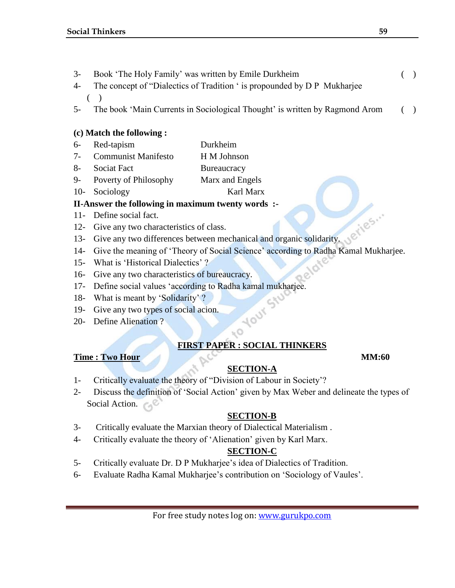- 3- Book ‗The Holy Family' was written by Emile Durkheim ( )
- 4- The concept of "Dialectics of Tradition ' is propounded by D P Mukharjee  $($   $)$
- 5- The book 'Main Currents in Sociological Thought' is written by Ragmond Arom ()

# **(c) Match the following :**

- 6- Red-tapism Durkheim
- 7- Communist Manifesto H M Johnson
- 8- Sociat Fact Bureaucracy
- 9- Poverty of Philosophy Marx and Engels
- 10- Sociology Karl Marx

# **II-Answer the following in maximum twenty words :-**

- 11- Define social fact.
- 12- Give any two characteristics of class.
- 13- Give any two differences between mechanical and organic solidarity.
- 14- Give the meaning of 'Theory of Social Science' according to Radha Kamal Mukharjee.
- 15- What is 'Historical Dialectics' ?
- 16- Give any two characteristics of bureaucracy.
- 17- Define social values 'according to Radha kamal mukharjee.<br>18- What is meant by 'Solidarity' ?<br>19- Give any two types of social acion.<br>20- Define Alienation ?
- 18- What is meant by 'Solidarity' ?
- 19- Give any two types of social acion.
- 20- Define Alienation ?

# $\sim$ **FIRST PAPER : SOCIAL THINKERS**

# **Time : Two Hour MM:60**

# **SECTION-A**

- 1- Critically evaluate the theory of "Division of Labour in Society"?
- 2- Discuss the definition of 'Social Action' given by Max Weber and delineate the types of Social Action.

# **SECTION-B**

- 3- Critically evaluate the Marxian theory of Dialectical Materialism .
- 4- Critically evaluate the theory of 'Alienation' given by Karl Marx.

# **SECTION-C**

- 5- Critically evaluate Dr. D P Mukharjee's idea of Dialectics of Tradition.
- 6- Evaluate Radha Kamal Mukharjee's contribution on 'Sociology of Vaules'.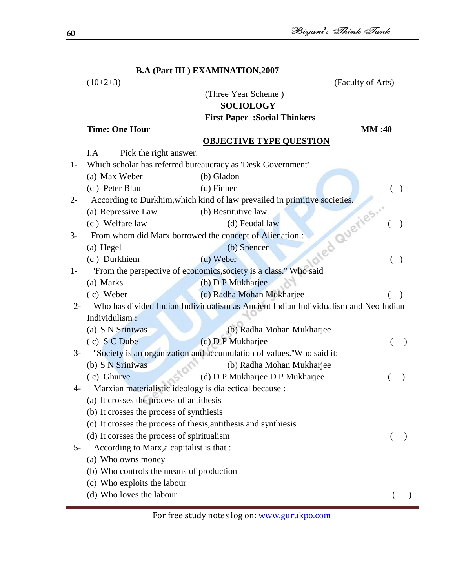|       |                                                                                      | <b>B.A (Part III) EXAMINATION, 2007</b>                                                   |           |
|-------|--------------------------------------------------------------------------------------|-------------------------------------------------------------------------------------------|-----------|
|       | $(10+2+3)$                                                                           | (Faculty of Arts)                                                                         |           |
|       |                                                                                      | (Three Year Scheme)                                                                       |           |
|       |                                                                                      | <b>SOCIOLOGY</b>                                                                          |           |
|       |                                                                                      | <b>First Paper : Social Thinkers</b>                                                      |           |
|       | <b>Time: One Hour</b>                                                                | <b>MM:40</b>                                                                              |           |
|       |                                                                                      | <b>OBJECTIVE TYPE QUESTION</b>                                                            |           |
|       | I.A<br>Pick the right answer.                                                        |                                                                                           |           |
| $1-$  |                                                                                      | Which scholar has referred bureaucracy as 'Desk Government'                               |           |
|       | (a) Max Weber                                                                        | (b) Gladon                                                                                |           |
|       | (c) Peter Blau                                                                       | $(d)$ Finner                                                                              |           |
| $2 -$ |                                                                                      | According to Durkhim, which kind of law prevailed in primitive societies.<br>afed Queries |           |
|       | (a) Repressive Law                                                                   | (b) Restitutive law                                                                       |           |
|       | (c) Welfare law                                                                      | (d) Feudal law                                                                            |           |
| $3-$  | From whom did Marx borrowed the concept of Alienation :                              |                                                                                           |           |
|       | (a) Hegel                                                                            | (b) Spencer                                                                               |           |
|       | (c) Durkhiem                                                                         | (d) Weber                                                                                 |           |
| $1-$  |                                                                                      | 'From the perspective of economics, society is a class." Who said                         |           |
|       | (a) Marks                                                                            | (b) D P Mukharjee                                                                         |           |
|       | (c) Weber                                                                            | (d) Radha Mohan Mukharjee                                                                 |           |
| $2-$  |                                                                                      | Who has divided Indian Individualism as Ancient Indian Individualism and Neo Indian       |           |
|       | Individulism:                                                                        |                                                                                           |           |
|       | (a) S N Sriniwas                                                                     | (b) Radha Mohan Mukharjee                                                                 |           |
|       | (c) S C Dube                                                                         | (d) D P Mukharjee                                                                         | $\lambda$ |
| $3-$  |                                                                                      | "Society is an organization and accumulation of values."Who said it:                      |           |
|       | (b) S N Sriniwas                                                                     | (b) Radha Mohan Mukharjee                                                                 |           |
| $4-$  | (c) Ghurye<br>Marxian materialistic ideology is dialectical because :                | (d) D P Mukharjee D P Mukharjee                                                           |           |
|       |                                                                                      |                                                                                           |           |
|       | (a) It crosses the process of antithesis<br>(b) It crosses the process of synthiesis |                                                                                           |           |
|       | (c) It crosses the process of thesis, antithesis and synthiesis                      |                                                                                           |           |
|       | (d) It corsses the process of spiritualism                                           |                                                                                           |           |
| $5-$  | According to Marx, a capitalist is that:                                             |                                                                                           |           |
|       | (a) Who owns money                                                                   |                                                                                           |           |
|       | (b) Who controls the means of production                                             |                                                                                           |           |
|       | (c) Who exploits the labour                                                          |                                                                                           |           |
|       | (d) Who loves the labour                                                             |                                                                                           |           |
|       |                                                                                      |                                                                                           |           |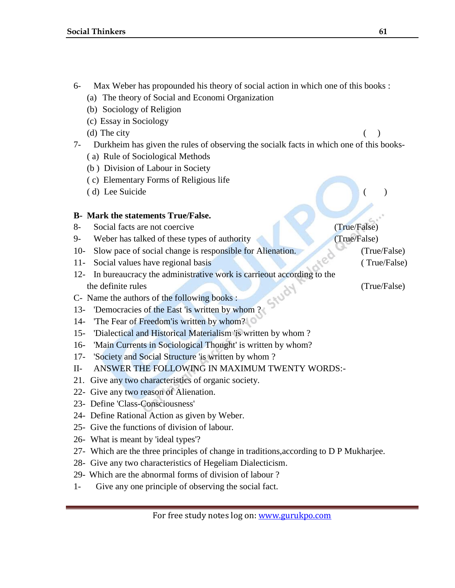- 6- Max Weber has propounded his theory of social action in which one of this books :
	- (a) The theory of Social and Economi Organization
	- (b) Sociology of Religion
	- (c) Essay in Sociology
	- (d) The city  $\qquad \qquad ( )$
- 7- Durkheim has given the rules of observing the socialk facts in which one of this books-
	- ( a) Rule of Sociological Methods
	- (b ) Division of Labour in Society
	- ( c) Elementary Forms of Religious life
	- (d) Lee Suicide

## **B- Mark the statements True/False.**

- 8- Social facts are not coercive (True/False)
- 9- Weber has talked of these types of authority (True/False)
- 10- Slow pace of social change is responsible for Alienation. (True/False)
- 11- Social values have regional basis (True/False) (True/False)
- 12- In bureaucracy the administrative work is carrieout according to the the definite rules (True/False) (True/False)
- C- Name the authors of the following books :
- 13- 'Democracies of the East 'is written by whom ?
- 14- The Fear of Freedom'is written by whom?
- 15- 'Dialectical and Historical Materialism 'is written by whom ?
- 16- 'Main Currents in Sociological Thought' is written by whom?
- 17- 'Society and Social Structure 'is written by whom ?
- II- ANSWER THE FOLLOWING IN MAXIMUM TWENTY WORDS:-
- 21. Give any two characteristics of organic society.
- 22- Give any two reason of Alienation.
- 23- Define 'Class-Consciousness'
- 24- Define Rational Action as given by Weber.
- 25- Give the functions of division of labour.
- 26- What is meant by 'ideal types'?
- 27- Which are the three principles of change in traditions,according to D P Mukharjee.
- 28- Give any two characteristics of Hegeliam Dialecticism.
- 29- Which are the abnormal forms of division of labour ?
- 1- Give any one principle of observing the social fact.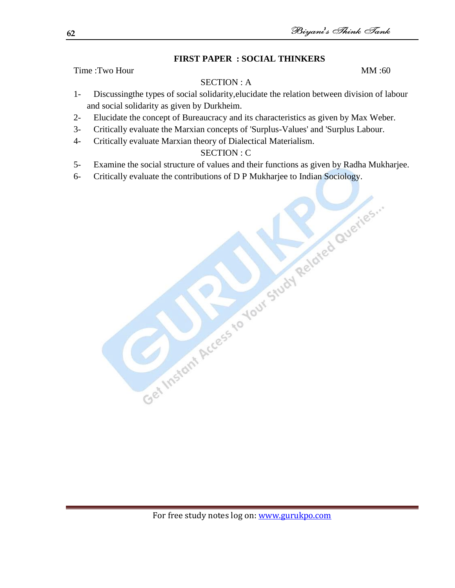# **FIRST PAPER : SOCIAL THINKERS**

Time :Two Hour  $MM:60$ 

# SECTION : A

- 1- Discussingthe types of social solidarity,elucidate the relation between division of labour and social solidarity as given by Durkheim.
- 2- Elucidate the concept of Bureaucracy and its characteristics as given by Max Weber.
- 3- Critically evaluate the Marxian concepts of 'Surplus-Values' and 'Surplus Labour.
- 4- Critically evaluate Marxian theory of Dialectical Materialism.

# SECTION : C

- 5- Examine the social structure of values and their functions as given by Radha Mukharjee.
- 6- Critically evaluate the contributions of D P Mukharjee to Indian Sociology.